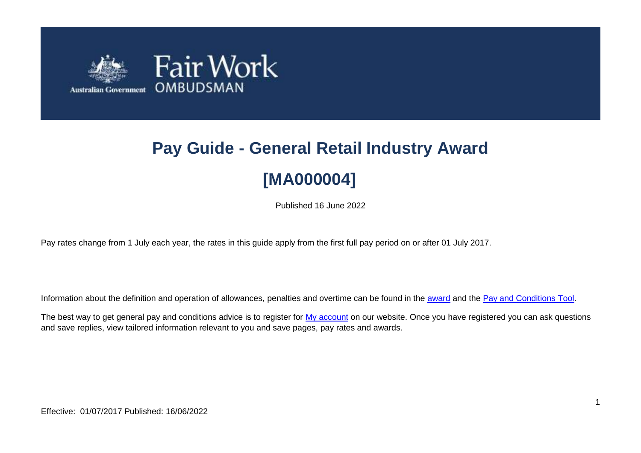

# **Pay Guide - General Retail Industry Award [MA000004]**

Published 16 June 2022

Pay rates change from 1 July each year, the rates in this guide apply from the first full pay period on or after 01 July 2017.

Information about the definition and operation of allowances, penalties and overtime can be found in the [award](https://www.fairwork.gov.au/awards-and-agreements/awards/list-of-awards) and the [Pay and Conditions Tool.](https://calculate.fairwork.gov.au/)

The best way to get general pay and conditions advice is to register for [My account](https://www.fairwork.gov.au/my-account/registerpage.aspx) on our website. Once you have registered you can ask questions and save replies, view tailored information relevant to you and save pages, pay rates and awards.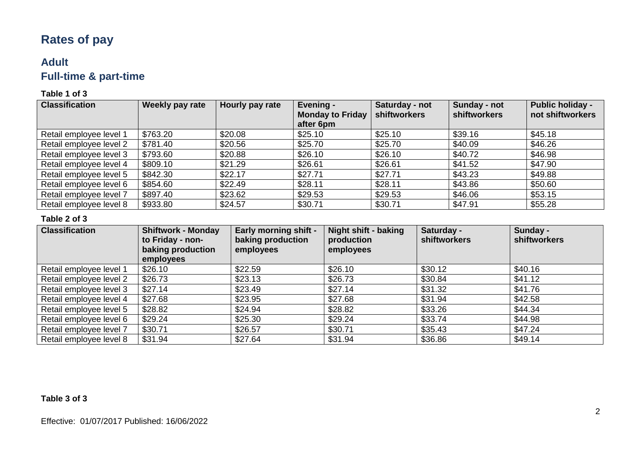# **Rates of pay**

### **Adult Full-time & part-time**

### **Table 1 of 3**

| <b>Classification</b>   | Weekly pay rate | Hourly pay rate | Evening -<br><b>Monday to Friday</b><br>after 6pm | Saturday - not<br><b>shiftworkers</b> | Sunday - not<br><b>shiftworkers</b> | <b>Public holiday -</b><br>not shiftworkers |
|-------------------------|-----------------|-----------------|---------------------------------------------------|---------------------------------------|-------------------------------------|---------------------------------------------|
| Retail employee level 1 | \$763.20        | \$20.08         | \$25.10                                           | \$25.10                               | \$39.16                             | \$45.18                                     |
| Retail employee level 2 | \$781.40        | \$20.56         | \$25.70                                           | \$25.70                               | \$40.09                             | \$46.26                                     |
| Retail employee level 3 | \$793.60        | \$20.88         | \$26.10                                           | \$26.10                               | \$40.72                             | \$46.98                                     |
| Retail employee level 4 | \$809.10        | \$21.29         | \$26.61                                           | \$26.61                               | \$41.52                             | \$47.90                                     |
| Retail employee level 5 | \$842.30        | \$22.17         | \$27.71                                           | \$27.71                               | \$43.23                             | \$49.88                                     |
| Retail employee level 6 | \$854.60        | \$22.49         | \$28.11                                           | \$28.11                               | \$43.86                             | \$50.60                                     |
| Retail employee level 7 | \$897.40        | \$23.62         | \$29.53                                           | \$29.53                               | \$46.06                             | \$53.15                                     |
| Retail employee level 8 | \$933.80        | \$24.57         | \$30.71                                           | \$30.71                               | \$47.91                             | \$55.28                                     |

### **Table 2 of 3**

| <b>Classification</b>   | <b>Shiftwork - Monday</b><br>to Friday - non-<br>baking production<br>employees | <b>Early morning shift -</b><br>baking production<br>employees | <b>Night shift - baking</b><br>production<br>employees | Saturday -<br><b>shiftworkers</b> | Sunday -<br>shiftworkers |
|-------------------------|---------------------------------------------------------------------------------|----------------------------------------------------------------|--------------------------------------------------------|-----------------------------------|--------------------------|
| Retail employee level 1 | \$26.10                                                                         | \$22.59                                                        | \$26.10                                                | \$30.12                           | \$40.16                  |
| Retail employee level 2 | \$26.73                                                                         | \$23.13                                                        | \$26.73                                                | \$30.84                           | \$41.12                  |
| Retail employee level 3 | \$27.14                                                                         | \$23.49                                                        | \$27.14                                                | \$31.32                           | \$41.76                  |
| Retail employee level 4 | \$27.68                                                                         | \$23.95                                                        | \$27.68                                                | \$31.94                           | \$42.58                  |
| Retail employee level 5 | \$28.82                                                                         | \$24.94                                                        | \$28.82                                                | \$33.26                           | \$44.34                  |
| Retail employee level 6 | \$29.24                                                                         | \$25.30                                                        | \$29.24                                                | \$33.74                           | \$44.98                  |
| Retail employee level 7 | \$30.71                                                                         | \$26.57                                                        | \$30.71                                                | \$35.43                           | \$47.24                  |
| Retail employee level 8 | \$31.94                                                                         | \$27.64                                                        | \$31.94                                                | \$36.86                           | \$49.14                  |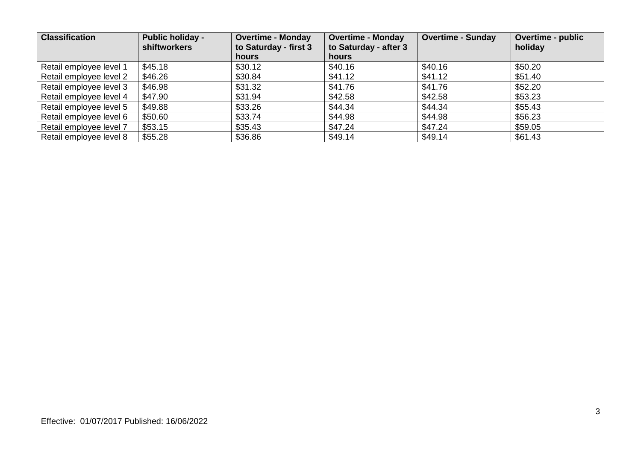| <b>Classification</b>   | <b>Public holiday -</b><br><b>shiftworkers</b> | <b>Overtime - Monday</b><br>to Saturday - first 3<br><b>hours</b> | <b>Overtime - Monday</b><br>to Saturday - after 3<br>hours | <b>Overtime - Sunday</b> | <b>Overtime - public</b><br>holiday |
|-------------------------|------------------------------------------------|-------------------------------------------------------------------|------------------------------------------------------------|--------------------------|-------------------------------------|
| Retail employee level 1 | \$45.18                                        | \$30.12                                                           | \$40.16                                                    | \$40.16                  | \$50.20                             |
| Retail employee level 2 | \$46.26                                        | \$30.84                                                           | \$41.12                                                    | \$41.12                  | \$51.40                             |
| Retail employee level 3 | \$46.98                                        | \$31.32                                                           | \$41.76                                                    | \$41.76                  | \$52.20                             |
| Retail employee level 4 | \$47.90                                        | \$31.94                                                           | \$42.58                                                    | \$42.58                  | \$53.23                             |
| Retail employee level 5 | \$49.88                                        | \$33.26                                                           | \$44.34                                                    | \$44.34                  | \$55.43                             |
| Retail employee level 6 | \$50.60                                        | \$33.74                                                           | \$44.98                                                    | \$44.98                  | \$56.23                             |
| Retail employee level 7 | \$53.15                                        | \$35.43                                                           | \$47.24                                                    | \$47.24                  | \$59.05                             |
| Retail employee level 8 | \$55.28                                        | \$36.86                                                           | \$49.14                                                    | \$49.14                  | \$61.43                             |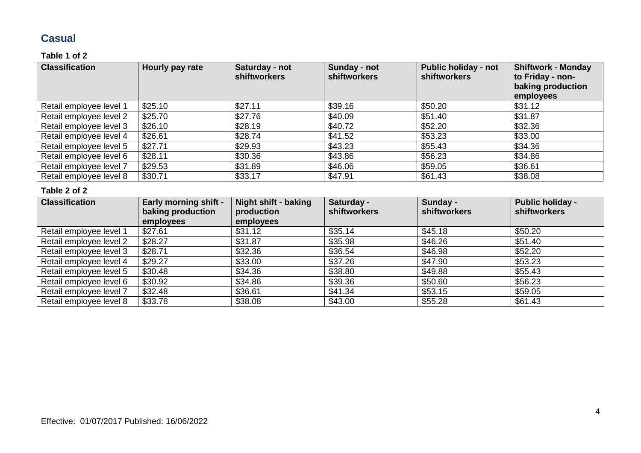### **Casual**

### **Table 1 of 2**

| <b>Classification</b>   | Hourly pay rate | Saturday - not<br><b>shiftworkers</b> | Sunday - not<br><b>shiftworkers</b> | <b>Public holiday - not</b><br><b>shiftworkers</b> | <b>Shiftwork - Monday</b><br>to Friday - non-<br>baking production<br>employees |
|-------------------------|-----------------|---------------------------------------|-------------------------------------|----------------------------------------------------|---------------------------------------------------------------------------------|
| Retail employee level 1 | \$25.10         | \$27.11                               | \$39.16                             | \$50.20                                            | \$31.12                                                                         |
| Retail employee level 2 | \$25.70         | \$27.76                               | \$40.09                             | \$51.40                                            | \$31.87                                                                         |
| Retail employee level 3 | \$26.10         | \$28.19                               | \$40.72                             | \$52.20                                            | \$32.36                                                                         |
| Retail employee level 4 | \$26.61         | \$28.74                               | \$41.52                             | \$53.23                                            | \$33.00                                                                         |
| Retail employee level 5 | \$27.71         | \$29.93                               | \$43.23                             | \$55.43                                            | \$34.36                                                                         |
| Retail employee level 6 | \$28.11         | \$30.36                               | \$43.86                             | \$56.23                                            | \$34.86                                                                         |
| Retail employee level 7 | \$29.53         | \$31.89                               | \$46.06                             | \$59.05                                            | \$36.61                                                                         |
| Retail employee level 8 | \$30.71         | \$33.17                               | \$47.91                             | \$61.43                                            | \$38.08                                                                         |

| <b>Classification</b>   | <b>Early morning shift -</b><br>baking production<br>employees | Night shift - baking<br>production<br>employees | Saturday -<br><b>shiftworkers</b> | Sunday -<br><b>shiftworkers</b> | <b>Public holiday -</b><br>shiftworkers |
|-------------------------|----------------------------------------------------------------|-------------------------------------------------|-----------------------------------|---------------------------------|-----------------------------------------|
| Retail employee level 1 | \$27.61                                                        | \$31.12                                         | \$35.14                           | \$45.18                         | \$50.20                                 |
| Retail employee level 2 | \$28.27                                                        | \$31.87                                         | \$35.98                           | \$46.26                         | \$51.40                                 |
| Retail employee level 3 | \$28.71                                                        | \$32.36                                         | \$36.54                           | \$46.98                         | \$52.20                                 |
| Retail employee level 4 | \$29.27                                                        | \$33.00                                         | \$37.26                           | \$47.90                         | \$53.23                                 |
| Retail employee level 5 | \$30.48                                                        | \$34.36                                         | \$38.80                           | \$49.88                         | \$55.43                                 |
| Retail employee level 6 | \$30.92                                                        | \$34.86                                         | \$39.36                           | \$50.60                         | \$56.23                                 |
| Retail employee level 7 | \$32.48                                                        | \$36.61                                         | \$41.34                           | \$53.15                         | \$59.05                                 |
| Retail employee level 8 | \$33.78                                                        | \$38.08                                         | \$43.00                           | \$55.28                         | \$61.43                                 |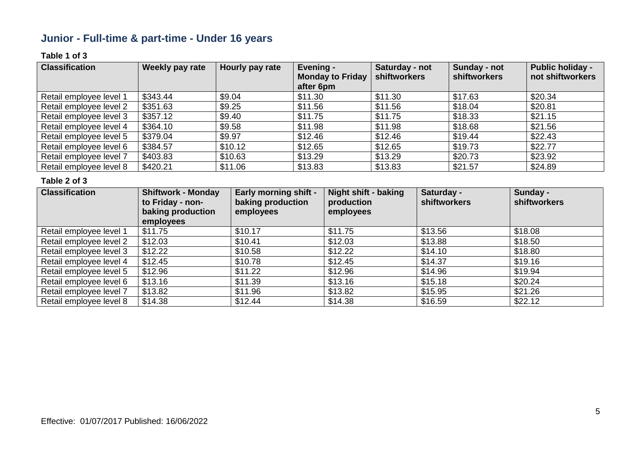## **Junior - Full-time & part-time - Under 16 years**

### **Table 1 of 3**

| <b>Classification</b>   | Weekly pay rate | Hourly pay rate | Evening -<br><b>Monday to Friday</b><br>after 6pm | Saturday - not<br><b>shiftworkers</b> | Sunday - not<br><b>shiftworkers</b> | <b>Public holiday -</b><br>not shiftworkers |
|-------------------------|-----------------|-----------------|---------------------------------------------------|---------------------------------------|-------------------------------------|---------------------------------------------|
| Retail employee level 1 | \$343.44        | \$9.04          | \$11.30                                           | \$11.30                               | \$17.63                             | \$20.34                                     |
| Retail employee level 2 | \$351.63        | \$9.25          | \$11.56                                           | \$11.56                               | \$18.04                             | \$20.81                                     |
| Retail employee level 3 | \$357.12        | \$9.40          | \$11.75                                           | \$11.75                               | \$18.33                             | \$21.15                                     |
| Retail employee level 4 | \$364.10        | \$9.58          | \$11.98                                           | \$11.98                               | \$18.68                             | \$21.56                                     |
| Retail employee level 5 | \$379.04        | \$9.97          | \$12.46                                           | \$12.46                               | \$19.44                             | \$22.43                                     |
| Retail employee level 6 | \$384.57        | \$10.12         | \$12.65                                           | \$12.65                               | \$19.73                             | \$22.77                                     |
| Retail employee level 7 | \$403.83        | \$10.63         | \$13.29                                           | \$13.29                               | \$20.73                             | \$23.92                                     |
| Retail employee level 8 | \$420.21        | \$11.06         | \$13.83                                           | \$13.83                               | \$21.57                             | \$24.89                                     |

| <b>Classification</b>   | <b>Shiftwork - Monday</b><br>to Friday - non-<br>baking production<br>employees | <b>Early morning shift -</b><br>baking production<br>employees | <b>Night shift - baking</b><br>production<br>employees | Saturday -<br><b>shiftworkers</b> | Sunday -<br>shiftworkers |
|-------------------------|---------------------------------------------------------------------------------|----------------------------------------------------------------|--------------------------------------------------------|-----------------------------------|--------------------------|
| Retail employee level 1 | \$11.75                                                                         | \$10.17                                                        | \$11.75                                                | \$13.56                           | \$18.08                  |
| Retail employee level 2 | \$12.03                                                                         | \$10.41                                                        | \$12.03                                                | \$13.88                           | \$18.50                  |
| Retail employee level 3 | \$12.22                                                                         | \$10.58                                                        | \$12.22                                                | \$14.10                           | \$18.80                  |
| Retail employee level 4 | \$12.45                                                                         | \$10.78                                                        | \$12.45                                                | \$14.37                           | \$19.16                  |
| Retail employee level 5 | \$12.96                                                                         | \$11.22                                                        | \$12.96                                                | \$14.96                           | \$19.94                  |
| Retail employee level 6 | \$13.16                                                                         | \$11.39                                                        | \$13.16                                                | \$15.18                           | \$20.24                  |
| Retail employee level 7 | \$13.82                                                                         | \$11.96                                                        | \$13.82                                                | \$15.95                           | \$21.26                  |
| Retail employee level 8 | \$14.38                                                                         | \$12.44                                                        | \$14.38                                                | \$16.59                           | \$22.12                  |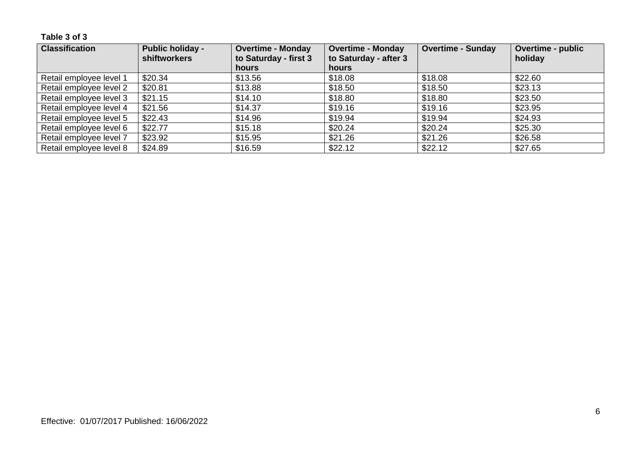**Table 3 of 3**

| <b>Classification</b>   | <b>Public holiday -</b><br>shiftworkers | <b>Overtime - Monday</b><br>to Saturday - first 3 | <b>Overtime - Monday</b><br>to Saturday - after 3 | <b>Overtime - Sunday</b> | Overtime - public<br>holiday |
|-------------------------|-----------------------------------------|---------------------------------------------------|---------------------------------------------------|--------------------------|------------------------------|
|                         |                                         | <b>hours</b>                                      | <b>hours</b>                                      |                          |                              |
| Retail employee level 1 | \$20.34                                 | \$13.56                                           | \$18.08                                           | \$18.08                  | \$22.60                      |
| Retail employee level 2 | \$20.81                                 | \$13.88                                           | \$18.50                                           | \$18.50                  | \$23.13                      |
| Retail employee level 3 | \$21.15                                 | \$14.10                                           | \$18.80                                           | \$18.80                  | \$23.50                      |
| Retail employee level 4 | \$21.56                                 | \$14.37                                           | \$19.16                                           | \$19.16                  | \$23.95                      |
| Retail employee level 5 | \$22.43                                 | \$14.96                                           | \$19.94                                           | \$19.94                  | \$24.93                      |
| Retail employee level 6 | \$22.77                                 | \$15.18                                           | \$20.24                                           | \$20.24                  | \$25.30                      |
| Retail employee level 7 | \$23.92                                 | \$15.95                                           | \$21.26                                           | \$21.26                  | \$26.58                      |
| Retail employee level 8 | \$24.89                                 | \$16.59                                           | \$22.12                                           | \$22.12                  | \$27.65                      |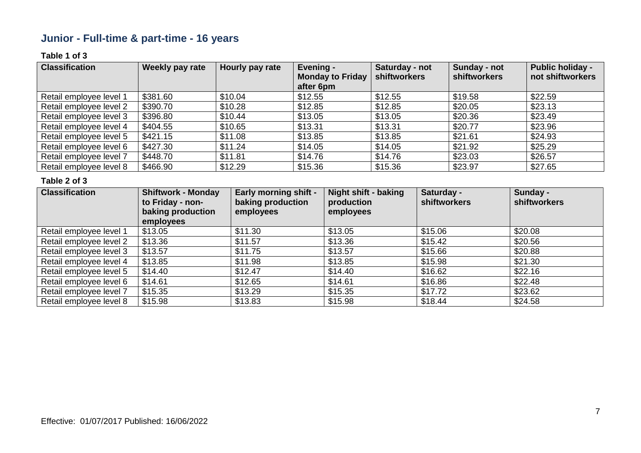## **Junior - Full-time & part-time - 16 years**

### **Table 1 of 3**

| <b>Classification</b>   | Weekly pay rate | Hourly pay rate | Evening -<br><b>Monday to Friday</b><br>after 6pm | Saturday - not<br>shiftworkers | Sunday - not<br><b>shiftworkers</b> | <b>Public holiday -</b><br>not shiftworkers |
|-------------------------|-----------------|-----------------|---------------------------------------------------|--------------------------------|-------------------------------------|---------------------------------------------|
| Retail employee level 1 | \$381.60        | \$10.04         | \$12.55                                           | \$12.55                        | \$19.58                             | \$22.59                                     |
| Retail employee level 2 | \$390.70        | \$10.28         | \$12.85                                           | \$12.85                        | \$20.05                             | \$23.13                                     |
| Retail employee level 3 | \$396.80        | \$10.44         | \$13.05                                           | \$13.05                        | \$20.36                             | \$23.49                                     |
| Retail employee level 4 | \$404.55        | \$10.65         | \$13.31                                           | \$13.31                        | \$20.77                             | \$23.96                                     |
| Retail employee level 5 | \$421.15        | \$11.08         | \$13.85                                           | \$13.85                        | \$21.61                             | \$24.93                                     |
| Retail employee level 6 | \$427.30        | \$11.24         | \$14.05                                           | \$14.05                        | \$21.92                             | \$25.29                                     |
| Retail employee level 7 | \$448.70        | \$11.81         | \$14.76                                           | \$14.76                        | \$23.03                             | \$26.57                                     |
| Retail employee level 8 | \$466.90        | \$12.29         | \$15.36                                           | \$15.36                        | \$23.97                             | \$27.65                                     |

| <b>Classification</b>   | <b>Shiftwork - Monday</b><br>to Friday - non-<br>baking production<br>employees | <b>Early morning shift -</b><br>baking production<br>employees | <b>Night shift - baking</b><br>production<br>employees | Saturday -<br><b>shiftworkers</b> | Sunday -<br>shiftworkers |
|-------------------------|---------------------------------------------------------------------------------|----------------------------------------------------------------|--------------------------------------------------------|-----------------------------------|--------------------------|
| Retail employee level 1 | \$13.05                                                                         | \$11.30                                                        | \$13.05                                                | \$15.06                           | \$20.08                  |
| Retail employee level 2 | \$13.36                                                                         | \$11.57                                                        | \$13.36                                                | \$15.42                           | \$20.56                  |
| Retail employee level 3 | \$13.57                                                                         | \$11.75                                                        | \$13.57                                                | \$15.66                           | \$20.88                  |
| Retail employee level 4 | \$13.85                                                                         | \$11.98                                                        | \$13.85                                                | \$15.98                           | \$21.30                  |
| Retail employee level 5 | \$14.40                                                                         | \$12.47                                                        | \$14.40                                                | \$16.62                           | \$22.16                  |
| Retail employee level 6 | \$14.61                                                                         | \$12.65                                                        | \$14.61                                                | \$16.86                           | \$22.48                  |
| Retail employee level 7 | \$15.35                                                                         | \$13.29                                                        | \$15.35                                                | \$17.72                           | \$23.62                  |
| Retail employee level 8 | \$15.98                                                                         | \$13.83                                                        | \$15.98                                                | \$18.44                           | \$24.58                  |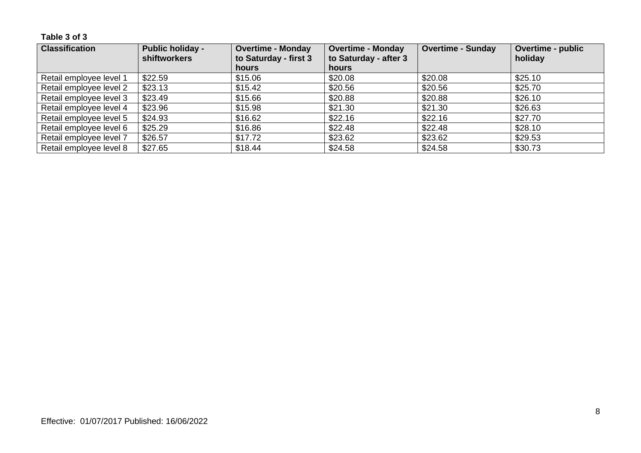**Table 3 of 3**

| <b>Classification</b>   | <b>Public holiday -</b><br>shiftworkers | <b>Overtime - Monday</b><br>to Saturday - first 3 | <b>Overtime - Monday</b><br>to Saturday - after 3 | <b>Overtime - Sunday</b> | <b>Overtime - public</b><br>holiday |
|-------------------------|-----------------------------------------|---------------------------------------------------|---------------------------------------------------|--------------------------|-------------------------------------|
|                         |                                         | hours                                             | hours                                             |                          |                                     |
| Retail employee level 1 | \$22.59                                 | \$15.06                                           | \$20.08                                           | \$20.08                  | \$25.10                             |
| Retail employee level 2 | \$23.13                                 | \$15.42                                           | \$20.56                                           | \$20.56                  | \$25.70                             |
| Retail employee level 3 | \$23.49                                 | \$15.66                                           | \$20.88                                           | \$20.88                  | \$26.10                             |
| Retail employee level 4 | \$23.96                                 | \$15.98                                           | \$21.30                                           | \$21.30                  | \$26.63                             |
| Retail employee level 5 | \$24.93                                 | \$16.62                                           | \$22.16                                           | \$22.16                  | \$27.70                             |
| Retail employee level 6 | \$25.29                                 | \$16.86                                           | \$22.48                                           | \$22.48                  | \$28.10                             |
| Retail employee level 7 | \$26.57                                 | \$17.72                                           | \$23.62                                           | \$23.62                  | \$29.53                             |
| Retail employee level 8 | \$27.65                                 | \$18.44                                           | \$24.58                                           | \$24.58                  | \$30.73                             |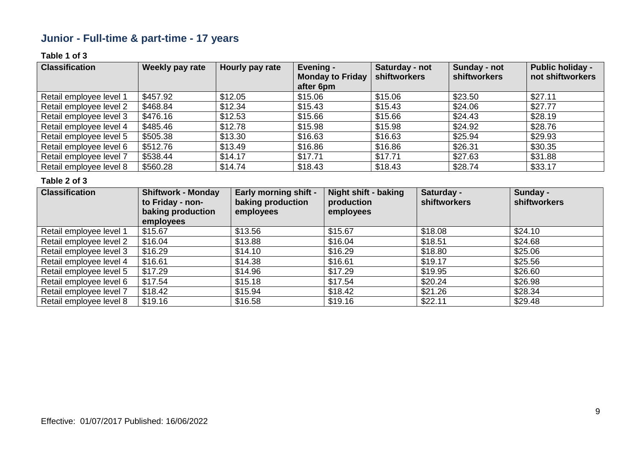## **Junior - Full-time & part-time - 17 years**

### **Table 1 of 3**

| <b>Classification</b>   | Weekly pay rate | Hourly pay rate | Evening -<br><b>Monday to Friday</b><br>after 6pm | Saturday - not<br>shiftworkers | Sunday - not<br><b>shiftworkers</b> | <b>Public holiday -</b><br>not shiftworkers |
|-------------------------|-----------------|-----------------|---------------------------------------------------|--------------------------------|-------------------------------------|---------------------------------------------|
| Retail employee level 1 | \$457.92        | \$12.05         | \$15.06                                           | \$15.06                        | \$23.50                             | \$27.11                                     |
| Retail employee level 2 | \$468.84        | \$12.34         | \$15.43                                           | \$15.43                        | \$24.06                             | \$27.77                                     |
| Retail employee level 3 | \$476.16        | \$12.53         | \$15.66                                           | \$15.66                        | \$24.43                             | \$28.19                                     |
| Retail employee level 4 | \$485.46        | \$12.78         | \$15.98                                           | \$15.98                        | \$24.92                             | \$28.76                                     |
| Retail employee level 5 | \$505.38        | \$13.30         | \$16.63                                           | \$16.63                        | \$25.94                             | \$29.93                                     |
| Retail employee level 6 | \$512.76        | \$13.49         | \$16.86                                           | \$16.86                        | \$26.31                             | \$30.35                                     |
| Retail employee level 7 | \$538.44        | \$14.17         | \$17.71                                           | \$17.71                        | \$27.63                             | \$31.88                                     |
| Retail employee level 8 | \$560.28        | \$14.74         | \$18.43                                           | \$18.43                        | \$28.74                             | \$33.17                                     |

| <b>Classification</b>   | <b>Shiftwork - Monday</b><br>to Friday - non-<br>baking production<br>employees | <b>Early morning shift -</b><br>baking production<br>employees | <b>Night shift - baking</b><br>production<br>employees | Saturday -<br><b>shiftworkers</b> | Sunday -<br>shiftworkers |
|-------------------------|---------------------------------------------------------------------------------|----------------------------------------------------------------|--------------------------------------------------------|-----------------------------------|--------------------------|
| Retail employee level 1 | \$15.67                                                                         | \$13.56                                                        | \$15.67                                                | \$18.08                           | \$24.10                  |
| Retail employee level 2 | \$16.04                                                                         | \$13.88                                                        | \$16.04                                                | \$18.51                           | \$24.68                  |
| Retail employee level 3 | \$16.29                                                                         | \$14.10                                                        | \$16.29                                                | \$18.80                           | \$25.06                  |
| Retail employee level 4 | \$16.61                                                                         | \$14.38                                                        | \$16.61                                                | \$19.17                           | \$25.56                  |
| Retail employee level 5 | \$17.29                                                                         | \$14.96                                                        | \$17.29                                                | \$19.95                           | \$26.60                  |
| Retail employee level 6 | \$17.54                                                                         | \$15.18                                                        | \$17.54                                                | \$20.24                           | \$26.98                  |
| Retail employee level 7 | \$18.42                                                                         | \$15.94                                                        | \$18.42                                                | \$21.26                           | \$28.34                  |
| Retail employee level 8 | \$19.16                                                                         | \$16.58                                                        | \$19.16                                                | \$22.11                           | \$29.48                  |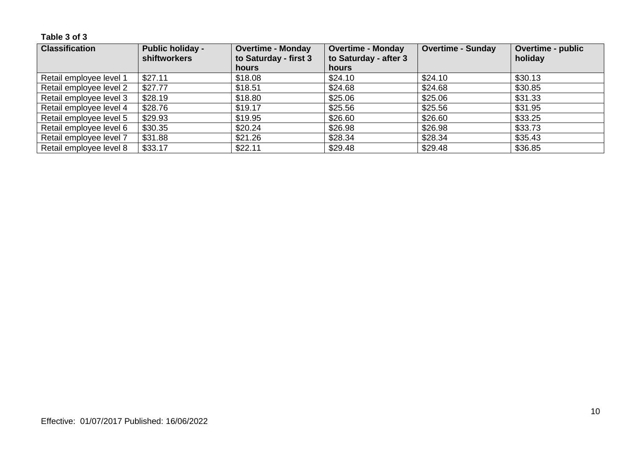**Table 3 of 3**

| <b>Classification</b>   | <b>Public holiday -</b><br><b>shiftworkers</b> | <b>Overtime - Monday</b><br>to Saturday - first 3 | <b>Overtime - Monday</b><br>to Saturday - after 3 | <b>Overtime - Sunday</b> | <b>Overtime - public</b><br>holiday |
|-------------------------|------------------------------------------------|---------------------------------------------------|---------------------------------------------------|--------------------------|-------------------------------------|
|                         |                                                | <b>hours</b>                                      | hours                                             |                          |                                     |
| Retail employee level 1 | \$27.11                                        | \$18.08                                           | \$24.10                                           | \$24.10                  | \$30.13                             |
| Retail employee level 2 | \$27.77                                        | \$18.51                                           | \$24.68                                           | \$24.68                  | \$30.85                             |
| Retail employee level 3 | \$28.19                                        | \$18.80                                           | \$25.06                                           | \$25.06                  | \$31.33                             |
| Retail employee level 4 | \$28.76                                        | \$19.17                                           | \$25.56                                           | \$25.56                  | \$31.95                             |
| Retail employee level 5 | \$29.93                                        | \$19.95                                           | \$26.60                                           | \$26.60                  | \$33.25                             |
| Retail employee level 6 | \$30.35                                        | \$20.24                                           | \$26.98                                           | \$26.98                  | \$33.73                             |
| Retail employee level 7 | \$31.88                                        | \$21.26                                           | \$28.34                                           | \$28.34                  | \$35.43                             |
| Retail employee level 8 | \$33.17                                        | \$22.11                                           | \$29.48                                           | \$29.48                  | \$36.85                             |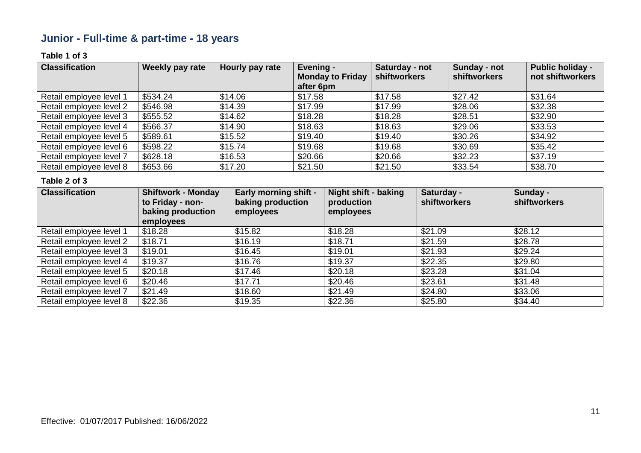## **Junior - Full-time & part-time - 18 years**

### **Table 1 of 3**

| <b>Classification</b>   | Weekly pay rate | Hourly pay rate | Evening -<br><b>Monday to Friday</b><br>after 6pm | Saturday - not<br>shiftworkers | Sunday - not<br><b>shiftworkers</b> | <b>Public holiday -</b><br>not shiftworkers |
|-------------------------|-----------------|-----------------|---------------------------------------------------|--------------------------------|-------------------------------------|---------------------------------------------|
| Retail employee level 1 | \$534.24        | \$14.06         | \$17.58                                           | \$17.58                        | \$27.42                             | \$31.64                                     |
| Retail employee level 2 | \$546.98        | \$14.39         | \$17.99                                           | \$17.99                        | \$28.06                             | \$32.38                                     |
| Retail employee level 3 | \$555.52        | \$14.62         | \$18.28                                           | \$18.28                        | \$28.51                             | \$32.90                                     |
| Retail employee level 4 | \$566.37        | \$14.90         | \$18.63                                           | \$18.63                        | \$29.06                             | \$33.53                                     |
| Retail employee level 5 | \$589.61        | \$15.52         | \$19.40                                           | \$19.40                        | \$30.26                             | \$34.92                                     |
| Retail employee level 6 | \$598.22        | \$15.74         | \$19.68                                           | \$19.68                        | \$30.69                             | \$35.42                                     |
| Retail employee level 7 | \$628.18        | \$16.53         | \$20.66                                           | \$20.66                        | \$32.23                             | \$37.19                                     |
| Retail employee level 8 | \$653.66        | \$17.20         | \$21.50                                           | \$21.50                        | \$33.54                             | \$38.70                                     |

| <b>Classification</b>   | <b>Shiftwork - Monday</b><br>to Friday - non-<br>baking production<br>employees | <b>Early morning shift -</b><br>baking production<br>employees | <b>Night shift - baking</b><br>production<br>employees | Saturday -<br><b>shiftworkers</b> | Sunday -<br>shiftworkers |
|-------------------------|---------------------------------------------------------------------------------|----------------------------------------------------------------|--------------------------------------------------------|-----------------------------------|--------------------------|
| Retail employee level 1 | \$18.28                                                                         | \$15.82                                                        | \$18.28                                                | \$21.09                           | \$28.12                  |
| Retail employee level 2 | \$18.71                                                                         | \$16.19                                                        | \$18.71                                                | \$21.59                           | \$28.78                  |
| Retail employee level 3 | \$19.01                                                                         | \$16.45                                                        | \$19.01                                                | \$21.93                           | \$29.24                  |
| Retail employee level 4 | \$19.37                                                                         | \$16.76                                                        | \$19.37                                                | \$22.35                           | \$29.80                  |
| Retail employee level 5 | \$20.18                                                                         | \$17.46                                                        | \$20.18                                                | \$23.28                           | \$31.04                  |
| Retail employee level 6 | \$20.46                                                                         | \$17.71                                                        | \$20.46                                                | \$23.61                           | \$31.48                  |
| Retail employee level 7 | \$21.49                                                                         | \$18.60                                                        | \$21.49                                                | \$24.80                           | \$33.06                  |
| Retail employee level 8 | \$22.36                                                                         | \$19.35                                                        | \$22.36                                                | \$25.80                           | \$34.40                  |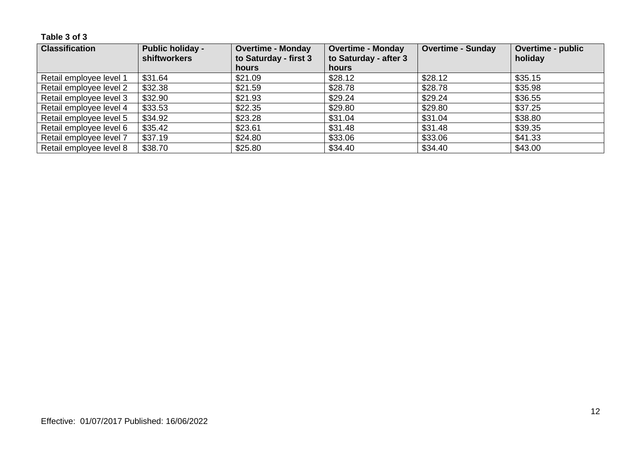**Table 3 of 3**

| <b>Classification</b>   | <b>Public holiday -</b><br><b>shiftworkers</b> | <b>Overtime - Monday</b><br>to Saturday - first 3 | <b>Overtime - Monday</b><br>to Saturday - after 3 | <b>Overtime - Sunday</b> | <b>Overtime - public</b><br>holiday |
|-------------------------|------------------------------------------------|---------------------------------------------------|---------------------------------------------------|--------------------------|-------------------------------------|
|                         |                                                | <b>hours</b>                                      | hours                                             |                          |                                     |
| Retail employee level 1 | \$31.64                                        | \$21.09                                           | \$28.12                                           | \$28.12                  | \$35.15                             |
| Retail employee level 2 | \$32.38                                        | \$21.59                                           | \$28.78                                           | \$28.78                  | \$35.98                             |
| Retail employee level 3 | \$32.90                                        | \$21.93                                           | \$29.24                                           | \$29.24                  | \$36.55                             |
| Retail employee level 4 | \$33.53                                        | \$22.35                                           | \$29.80                                           | \$29.80                  | \$37.25                             |
| Retail employee level 5 | \$34.92                                        | \$23.28                                           | \$31.04                                           | \$31.04                  | \$38.80                             |
| Retail employee level 6 | \$35.42                                        | \$23.61                                           | \$31.48                                           | \$31.48                  | \$39.35                             |
| Retail employee level 7 | \$37.19                                        | \$24.80                                           | \$33.06                                           | \$33.06                  | \$41.33                             |
| Retail employee level 8 | \$38.70                                        | \$25.80                                           | \$34.40                                           | \$34.40                  | \$43.00                             |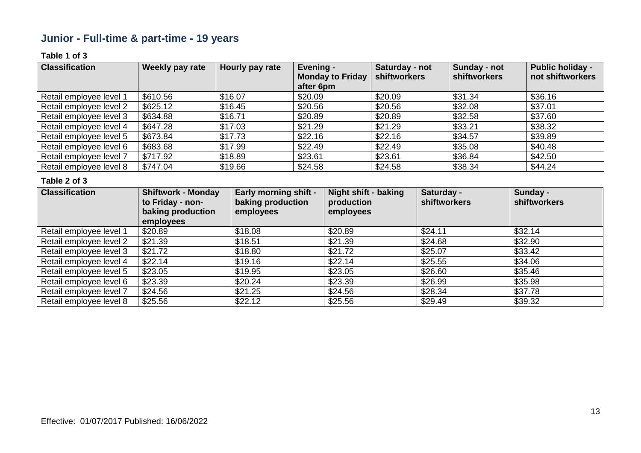## **Junior - Full-time & part-time - 19 years**

### **Table 1 of 3**

| <b>Classification</b>   | Weekly pay rate | Hourly pay rate | Evening -<br><b>Monday to Friday</b><br>after 6pm | Saturday - not<br>shiftworkers | Sunday - not<br><b>shiftworkers</b> | <b>Public holiday -</b><br>not shiftworkers |
|-------------------------|-----------------|-----------------|---------------------------------------------------|--------------------------------|-------------------------------------|---------------------------------------------|
| Retail employee level 1 | \$610.56        | \$16.07         | \$20.09                                           | \$20.09                        | \$31.34                             | \$36.16                                     |
| Retail employee level 2 | \$625.12        | \$16.45         | \$20.56                                           | \$20.56                        | \$32.08                             | \$37.01                                     |
| Retail employee level 3 | \$634.88        | \$16.71         | \$20.89                                           | \$20.89                        | \$32.58                             | \$37.60                                     |
| Retail employee level 4 | \$647.28        | \$17.03         | \$21.29                                           | \$21.29                        | \$33.21                             | \$38.32                                     |
| Retail employee level 5 | \$673.84        | \$17.73         | \$22.16                                           | \$22.16                        | \$34.57                             | \$39.89                                     |
| Retail employee level 6 | \$683.68        | \$17.99         | \$22.49                                           | \$22.49                        | \$35.08                             | \$40.48                                     |
| Retail employee level 7 | \$717.92        | \$18.89         | \$23.61                                           | \$23.61                        | \$36.84                             | \$42.50                                     |
| Retail employee level 8 | \$747.04        | \$19.66         | \$24.58                                           | \$24.58                        | \$38.34                             | \$44.24                                     |

| <b>Classification</b>   | <b>Shiftwork - Monday</b><br>to Friday - non-<br>baking production<br>employees | <b>Early morning shift -</b><br>baking production<br>employees | <b>Night shift - baking</b><br>production<br>employees | Saturday -<br><b>shiftworkers</b> | Sunday -<br>shiftworkers |
|-------------------------|---------------------------------------------------------------------------------|----------------------------------------------------------------|--------------------------------------------------------|-----------------------------------|--------------------------|
| Retail employee level 1 | \$20.89                                                                         | \$18.08                                                        | \$20.89                                                | \$24.11                           | \$32.14                  |
| Retail employee level 2 | \$21.39                                                                         | \$18.51                                                        | \$21.39                                                | \$24.68                           | \$32.90                  |
| Retail employee level 3 | \$21.72                                                                         | \$18.80                                                        | \$21.72                                                | \$25.07                           | \$33.42                  |
| Retail employee level 4 | \$22.14                                                                         | \$19.16                                                        | \$22.14                                                | \$25.55                           | \$34.06                  |
| Retail employee level 5 | \$23.05                                                                         | \$19.95                                                        | \$23.05                                                | \$26.60                           | \$35.46                  |
| Retail employee level 6 | \$23.39                                                                         | \$20.24                                                        | \$23.39                                                | \$26.99                           | \$35.98                  |
| Retail employee level 7 | \$24.56                                                                         | \$21.25                                                        | \$24.56                                                | \$28.34                           | \$37.78                  |
| Retail employee level 8 | \$25.56                                                                         | \$22.12                                                        | \$25.56                                                | \$29.49                           | \$39.32                  |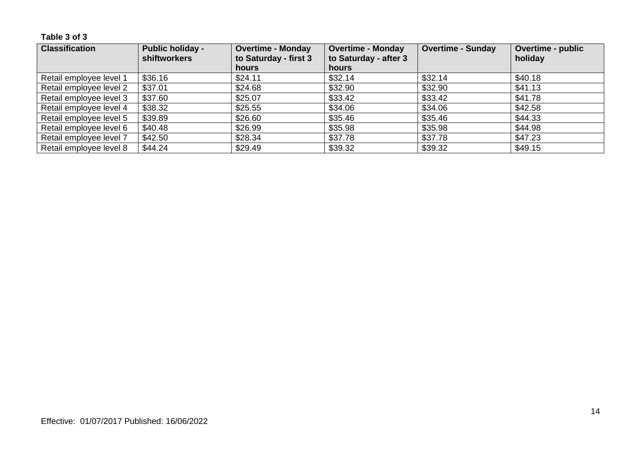**Table 3 of 3**

| <b>Classification</b>   | <b>Public holiday -</b><br>shiftworkers | <b>Overtime - Monday</b><br>to Saturday - first 3 | <b>Overtime - Monday</b><br>to Saturday - after 3 | <b>Overtime - Sunday</b> | Overtime - public<br>holiday |
|-------------------------|-----------------------------------------|---------------------------------------------------|---------------------------------------------------|--------------------------|------------------------------|
|                         |                                         | <b>hours</b>                                      | <b>hours</b>                                      |                          |                              |
| Retail employee level 1 | \$36.16                                 | \$24.11                                           | \$32.14                                           | \$32.14                  | \$40.18                      |
| Retail employee level 2 | \$37.01                                 | \$24.68                                           | \$32.90                                           | \$32.90                  | \$41.13                      |
| Retail employee level 3 | \$37.60                                 | \$25.07                                           | \$33.42                                           | \$33.42                  | \$41.78                      |
| Retail employee level 4 | \$38.32                                 | \$25.55                                           | \$34.06                                           | \$34.06                  | \$42.58                      |
| Retail employee level 5 | \$39.89                                 | \$26.60                                           | \$35.46                                           | \$35.46                  | \$44.33                      |
| Retail employee level 6 | \$40.48                                 | \$26.99                                           | \$35.98                                           | \$35.98                  | \$44.98                      |
| Retail employee level 7 | \$42.50                                 | \$28.34                                           | \$37.78                                           | \$37.78                  | \$47.23                      |
| Retail employee level 8 | \$44.24                                 | \$29.49                                           | \$39.32                                           | \$39.32                  | \$49.15                      |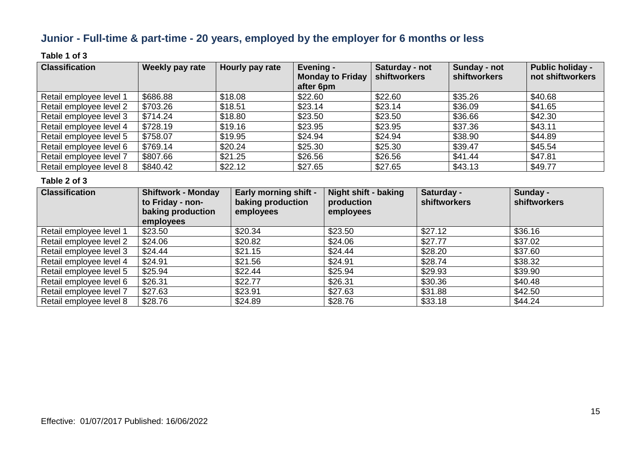### **Junior - Full-time & part-time - 20 years, employed by the employer for 6 months or less**

### **Table 1 of 3**

| <b>Classification</b>   | Weekly pay rate | Hourly pay rate | Evening -<br><b>Monday to Friday</b><br>after 6pm | Saturday - not<br>shiftworkers | Sunday - not<br>shiftworkers | <b>Public holiday -</b><br>not shiftworkers |
|-------------------------|-----------------|-----------------|---------------------------------------------------|--------------------------------|------------------------------|---------------------------------------------|
| Retail employee level 1 | \$686.88        | \$18.08         | \$22.60                                           | \$22.60                        | \$35.26                      | \$40.68                                     |
| Retail employee level 2 | \$703.26        | \$18.51         | \$23.14                                           | \$23.14                        | \$36.09                      | \$41.65                                     |
| Retail employee level 3 | \$714.24        | \$18.80         | \$23.50                                           | \$23.50                        | \$36.66                      | \$42.30                                     |
| Retail employee level 4 | \$728.19        | \$19.16         | \$23.95                                           | \$23.95                        | \$37.36                      | \$43.11                                     |
| Retail employee level 5 | \$758.07        | \$19.95         | \$24.94                                           | \$24.94                        | \$38.90                      | \$44.89                                     |
| Retail employee level 6 | \$769.14        | \$20.24         | \$25.30                                           | \$25.30                        | \$39.47                      | \$45.54                                     |
| Retail employee level 7 | \$807.66        | \$21.25         | \$26.56                                           | \$26.56                        | \$41.44                      | \$47.81                                     |
| Retail employee level 8 | \$840.42        | \$22.12         | \$27.65                                           | \$27.65                        | \$43.13                      | \$49.77                                     |

| <b>Classification</b>   | <b>Shiftwork - Monday</b><br>to Friday - non-<br>baking production<br>employees | <b>Early morning shift -</b><br>baking production<br>employees | <b>Night shift - baking</b><br>production<br>employees | Saturday -<br>shiftworkers | Sunday -<br>shiftworkers |
|-------------------------|---------------------------------------------------------------------------------|----------------------------------------------------------------|--------------------------------------------------------|----------------------------|--------------------------|
| Retail employee level 1 | \$23.50                                                                         | \$20.34                                                        | \$23.50                                                | \$27.12                    | \$36.16                  |
| Retail employee level 2 | \$24.06                                                                         | \$20.82                                                        | \$24.06                                                | \$27.77                    | \$37.02                  |
| Retail employee level 3 | \$24.44                                                                         | \$21.15                                                        | \$24.44                                                | \$28.20                    | \$37.60                  |
| Retail employee level 4 | \$24.91                                                                         | \$21.56                                                        | \$24.91                                                | \$28.74                    | \$38.32                  |
| Retail employee level 5 | \$25.94                                                                         | \$22.44                                                        | \$25.94                                                | \$29.93                    | \$39.90                  |
| Retail employee level 6 | \$26.31                                                                         | \$22.77                                                        | \$26.31                                                | \$30.36                    | \$40.48                  |
| Retail employee level 7 | \$27.63                                                                         | \$23.91                                                        | \$27.63                                                | \$31.88                    | \$42.50                  |
| Retail employee level 8 | \$28.76                                                                         | \$24.89                                                        | \$28.76                                                | \$33.18                    | \$44.24                  |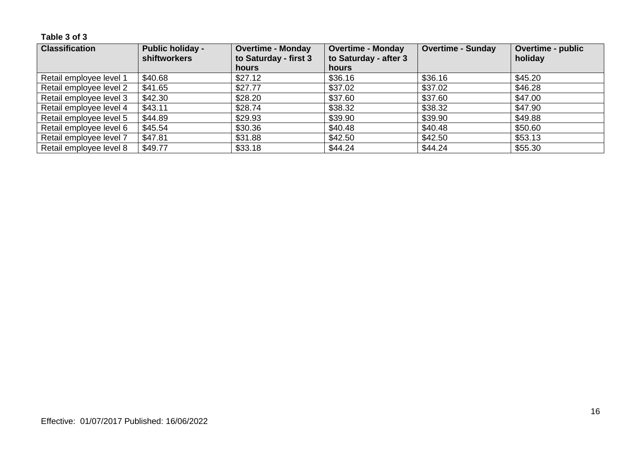**Table 3 of 3**

| <b>Classification</b>   | <b>Public holiday -</b><br><b>shiftworkers</b> | <b>Overtime - Monday</b><br>to Saturday - first 3 | <b>Overtime - Monday</b><br>to Saturday - after 3 | <b>Overtime - Sunday</b> | <b>Overtime - public</b><br>holiday |
|-------------------------|------------------------------------------------|---------------------------------------------------|---------------------------------------------------|--------------------------|-------------------------------------|
|                         |                                                | <b>hours</b>                                      | hours                                             |                          |                                     |
| Retail employee level 1 | \$40.68                                        | \$27.12                                           | \$36.16                                           | \$36.16                  | \$45.20                             |
| Retail employee level 2 | \$41.65                                        | \$27.77                                           | \$37.02                                           | \$37.02                  | \$46.28                             |
| Retail employee level 3 | \$42.30                                        | \$28.20                                           | \$37.60                                           | \$37.60                  | \$47.00                             |
| Retail employee level 4 | \$43.11                                        | \$28.74                                           | \$38.32                                           | \$38.32                  | \$47.90                             |
| Retail employee level 5 | \$44.89                                        | \$29.93                                           | \$39.90                                           | \$39.90                  | \$49.88                             |
| Retail employee level 6 | \$45.54                                        | \$30.36                                           | \$40.48                                           | \$40.48                  | \$50.60                             |
| Retail employee level 7 | \$47.81                                        | \$31.88                                           | \$42.50                                           | \$42.50                  | \$53.13                             |
| Retail employee level 8 | \$49.77                                        | \$33.18                                           | \$44.24                                           | \$44.24                  | \$55.30                             |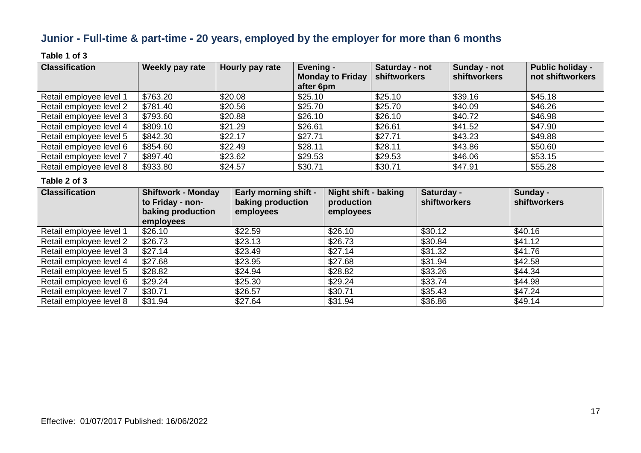### **Junior - Full-time & part-time - 20 years, employed by the employer for more than 6 months**

### **Table 1 of 3**

| <b>Classification</b>   | Weekly pay rate | Hourly pay rate | Evening -<br><b>Monday to Friday</b> | Saturday - not<br>shiftworkers | Sunday - not<br>shiftworkers | <b>Public holiday -</b><br>not shiftworkers |
|-------------------------|-----------------|-----------------|--------------------------------------|--------------------------------|------------------------------|---------------------------------------------|
|                         |                 |                 | after 6pm                            |                                |                              |                                             |
| Retail employee level 1 | \$763.20        | \$20.08         | \$25.10                              | \$25.10                        | \$39.16                      | \$45.18                                     |
| Retail employee level 2 | \$781.40        | \$20.56         | \$25.70                              | \$25.70                        | \$40.09                      | \$46.26                                     |
| Retail employee level 3 | \$793.60        | \$20.88         | \$26.10                              | \$26.10                        | \$40.72                      | \$46.98                                     |
| Retail employee level 4 | \$809.10        | \$21.29         | \$26.61                              | \$26.61                        | \$41.52                      | \$47.90                                     |
| Retail employee level 5 | \$842.30        | \$22.17         | \$27.71                              | \$27.71                        | \$43.23                      | \$49.88                                     |
| Retail employee level 6 | \$854.60        | \$22.49         | \$28.11                              | \$28.11                        | \$43.86                      | \$50.60                                     |
| Retail employee level 7 | \$897.40        | \$23.62         | \$29.53                              | \$29.53                        | \$46.06                      | \$53.15                                     |
| Retail employee level 8 | \$933.80        | \$24.57         | \$30.71                              | \$30.71                        | \$47.91                      | \$55.28                                     |

| <b>Classification</b>   | <b>Shiftwork - Monday</b><br>to Friday - non-<br>baking production<br>employees | <b>Early morning shift -</b><br>baking production<br>employees | Night shift - baking<br>production<br>employees | Saturday -<br>shiftworkers | Sunday -<br>shiftworkers |
|-------------------------|---------------------------------------------------------------------------------|----------------------------------------------------------------|-------------------------------------------------|----------------------------|--------------------------|
| Retail employee level 1 | \$26.10                                                                         | \$22.59                                                        | \$26.10                                         | \$30.12                    | \$40.16                  |
| Retail employee level 2 | \$26.73                                                                         | \$23.13                                                        | \$26.73                                         | \$30.84                    | \$41.12                  |
| Retail employee level 3 | \$27.14                                                                         | \$23.49                                                        | \$27.14                                         | \$31.32                    | \$41.76                  |
| Retail employee level 4 | \$27.68                                                                         | \$23.95                                                        | \$27.68                                         | \$31.94                    | \$42.58                  |
| Retail employee level 5 | \$28.82                                                                         | \$24.94                                                        | \$28.82                                         | \$33.26                    | \$44.34                  |
| Retail employee level 6 | \$29.24                                                                         | \$25.30                                                        | \$29.24                                         | \$33.74                    | \$44.98                  |
| Retail employee level 7 | \$30.71                                                                         | \$26.57                                                        | \$30.71                                         | \$35.43                    | \$47.24                  |
| Retail employee level 8 | \$31.94                                                                         | \$27.64                                                        | \$31.94                                         | \$36.86                    | \$49.14                  |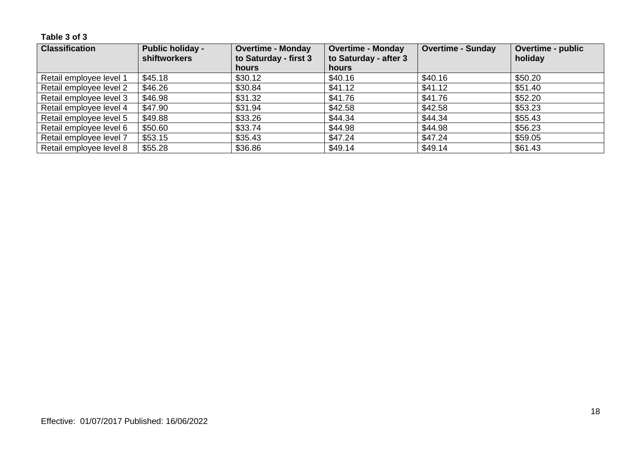**Table 3 of 3**

| <b>Classification</b>   | <b>Public holiday -</b><br><b>shiftworkers</b> | <b>Overtime - Monday</b><br>to Saturday - first 3 | <b>Overtime - Monday</b><br>to Saturday - after 3 | <b>Overtime - Sunday</b> | <b>Overtime - public</b><br>holiday |
|-------------------------|------------------------------------------------|---------------------------------------------------|---------------------------------------------------|--------------------------|-------------------------------------|
|                         |                                                | <b>hours</b>                                      | hours                                             |                          |                                     |
| Retail employee level 1 | \$45.18                                        | \$30.12                                           | \$40.16                                           | \$40.16                  | \$50.20                             |
| Retail employee level 2 | \$46.26                                        | \$30.84                                           | \$41.12                                           | \$41.12                  | \$51.40                             |
| Retail employee level 3 | \$46.98                                        | \$31.32                                           | \$41.76                                           | \$41.76                  | \$52.20                             |
| Retail employee level 4 | \$47.90                                        | \$31.94                                           | \$42.58                                           | \$42.58                  | \$53.23                             |
| Retail employee level 5 | \$49.88                                        | \$33.26                                           | \$44.34                                           | \$44.34                  | \$55.43                             |
| Retail employee level 6 | \$50.60                                        | \$33.74                                           | \$44.98                                           | \$44.98                  | \$56.23                             |
| Retail employee level 7 | \$53.15                                        | \$35.43                                           | \$47.24                                           | \$47.24                  | \$59.05                             |
| Retail employee level 8 | \$55.28                                        | \$36.86                                           | \$49.14                                           | \$49.14                  | \$61.43                             |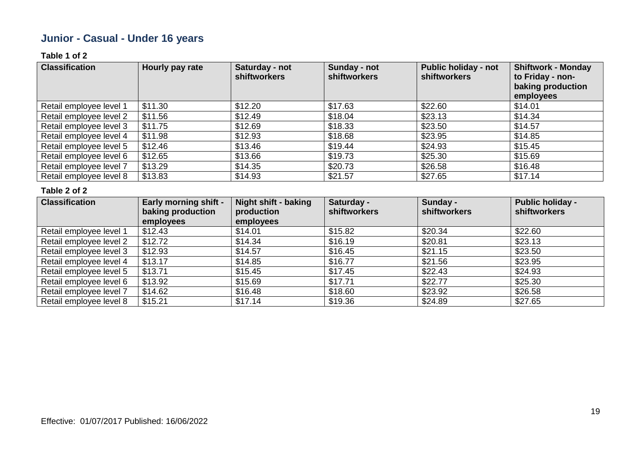## **Junior - Casual - Under 16 years**

### **Table 1 of 2**

| <b>Classification</b>   | Hourly pay rate | Saturday - not<br><b>shiftworkers</b> | Sunday - not<br>shiftworkers | <b>Public holiday - not</b><br>shiftworkers | <b>Shiftwork - Monday</b><br>to Friday - non-<br>baking production<br>employees |
|-------------------------|-----------------|---------------------------------------|------------------------------|---------------------------------------------|---------------------------------------------------------------------------------|
| Retail employee level 1 | \$11.30         | \$12.20                               | \$17.63                      | \$22.60                                     | \$14.01                                                                         |
| Retail employee level 2 | \$11.56         | \$12.49                               | \$18.04                      | \$23.13                                     | \$14.34                                                                         |
| Retail employee level 3 | \$11.75         | \$12.69                               | \$18.33                      | \$23.50                                     | \$14.57                                                                         |
| Retail employee level 4 | \$11.98         | \$12.93                               | \$18.68                      | \$23.95                                     | \$14.85                                                                         |
| Retail employee level 5 | \$12.46         | \$13.46                               | \$19.44                      | \$24.93                                     | \$15.45                                                                         |
| Retail employee level 6 | \$12.65         | \$13.66                               | \$19.73                      | \$25.30                                     | \$15.69                                                                         |
| Retail employee level 7 | \$13.29         | \$14.35                               | \$20.73                      | \$26.58                                     | \$16.48                                                                         |
| Retail employee level 8 | \$13.83         | \$14.93                               | \$21.57                      | \$27.65                                     | \$17.14                                                                         |

| <b>Classification</b>   | <b>Early morning shift -</b><br>baking production<br>employees | <b>Night shift - baking</b><br>production<br>employees | Saturday -<br><b>shiftworkers</b> | Sunday -<br><b>shiftworkers</b> | <b>Public holiday -</b><br>shiftworkers |
|-------------------------|----------------------------------------------------------------|--------------------------------------------------------|-----------------------------------|---------------------------------|-----------------------------------------|
| Retail employee level 1 | \$12.43                                                        | \$14.01                                                | \$15.82                           | \$20.34                         | \$22.60                                 |
| Retail employee level 2 | \$12.72                                                        | \$14.34                                                | \$16.19                           | \$20.81                         | \$23.13                                 |
| Retail employee level 3 | \$12.93                                                        | \$14.57                                                | \$16.45                           | \$21.15                         | \$23.50                                 |
| Retail employee level 4 | \$13.17                                                        | \$14.85                                                | \$16.77                           | \$21.56                         | \$23.95                                 |
| Retail employee level 5 | \$13.71                                                        | \$15.45                                                | \$17.45                           | \$22.43                         | \$24.93                                 |
| Retail employee level 6 | \$13.92                                                        | \$15.69                                                | \$17.71                           | \$22.77                         | \$25.30                                 |
| Retail employee level 7 | \$14.62                                                        | \$16.48                                                | \$18.60                           | \$23.92                         | \$26.58                                 |
| Retail employee level 8 | \$15.21                                                        | \$17.14                                                | \$19.36                           | \$24.89                         | \$27.65                                 |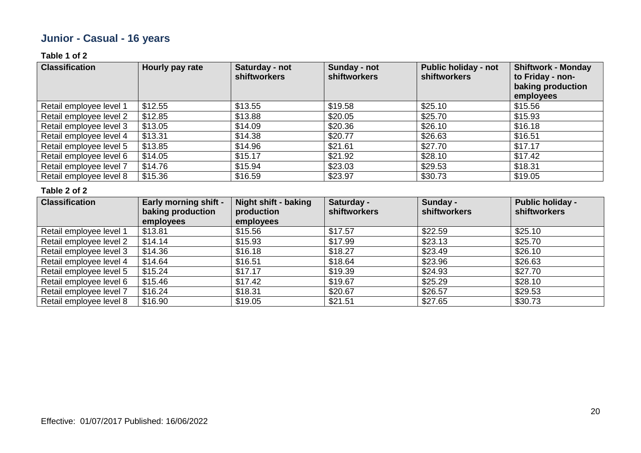## **Junior - Casual - 16 years**

### **Table 1 of 2**

| <b>Classification</b>   | Hourly pay rate | Saturday - not<br><b>shiftworkers</b> | Sunday - not<br><b>shiftworkers</b> | <b>Public holiday - not</b><br><b>shiftworkers</b> | <b>Shiftwork - Monday</b><br>to Friday - non-<br>baking production<br>employees |
|-------------------------|-----------------|---------------------------------------|-------------------------------------|----------------------------------------------------|---------------------------------------------------------------------------------|
| Retail employee level 1 | \$12.55         | \$13.55                               | \$19.58                             | \$25.10                                            | \$15.56                                                                         |
| Retail employee level 2 | \$12.85         | \$13.88                               | \$20.05                             | \$25.70                                            | \$15.93                                                                         |
| Retail employee level 3 | \$13.05         | \$14.09                               | \$20.36                             | \$26.10                                            | \$16.18                                                                         |
| Retail employee level 4 | \$13.31         | \$14.38                               | \$20.77                             | \$26.63                                            | \$16.51                                                                         |
| Retail employee level 5 | \$13.85         | \$14.96                               | \$21.61                             | \$27.70                                            | \$17.17                                                                         |
| Retail employee level 6 | \$14.05         | \$15.17                               | \$21.92                             | \$28.10                                            | \$17.42                                                                         |
| Retail employee level 7 | \$14.76         | \$15.94                               | \$23.03                             | \$29.53                                            | \$18.31                                                                         |
| Retail employee level 8 | \$15.36         | \$16.59                               | \$23.97                             | \$30.73                                            | \$19.05                                                                         |

| <b>Classification</b>   | <b>Early morning shift -</b><br>baking production<br>employees | <b>Night shift - baking</b><br>production<br>employees | Saturday -<br><b>shiftworkers</b> | Sunday -<br>shiftworkers | <b>Public holiday -</b><br>shiftworkers |
|-------------------------|----------------------------------------------------------------|--------------------------------------------------------|-----------------------------------|--------------------------|-----------------------------------------|
| Retail employee level 1 | \$13.81                                                        | \$15.56                                                | \$17.57                           | \$22.59                  | \$25.10                                 |
| Retail employee level 2 | \$14.14                                                        | \$15.93                                                | \$17.99                           | \$23.13                  | \$25.70                                 |
| Retail employee level 3 | \$14.36                                                        | \$16.18                                                | \$18.27                           | \$23.49                  | \$26.10                                 |
| Retail employee level 4 | \$14.64                                                        | \$16.51                                                | \$18.64                           | \$23.96                  | \$26.63                                 |
| Retail employee level 5 | \$15.24                                                        | \$17.17                                                | \$19.39                           | \$24.93                  | \$27.70                                 |
| Retail employee level 6 | \$15.46                                                        | \$17.42                                                | \$19.67                           | \$25.29                  | \$28.10                                 |
| Retail employee level 7 | \$16.24                                                        | \$18.31                                                | \$20.67                           | \$26.57                  | \$29.53                                 |
| Retail employee level 8 | \$16.90                                                        | \$19.05                                                | \$21.51                           | \$27.65                  | \$30.73                                 |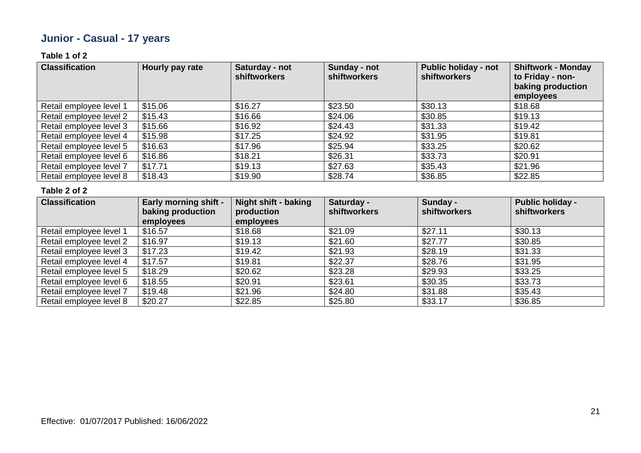## **Junior - Casual - 17 years**

### **Table 1 of 2**

| <b>Classification</b>   | Hourly pay rate | Saturday - not<br><b>shiftworkers</b> | Sunday - not<br>shiftworkers | <b>Public holiday - not</b><br><b>shiftworkers</b> | <b>Shiftwork - Monday</b><br>to Friday - non-<br>baking production<br>employees |
|-------------------------|-----------------|---------------------------------------|------------------------------|----------------------------------------------------|---------------------------------------------------------------------------------|
| Retail employee level 1 | \$15.06         | \$16.27                               | \$23.50                      | \$30.13                                            | \$18.68                                                                         |
| Retail employee level 2 | \$15.43         | \$16.66                               | \$24.06                      | \$30.85                                            | \$19.13                                                                         |
| Retail employee level 3 | \$15.66         | \$16.92                               | \$24.43                      | \$31.33                                            | \$19.42                                                                         |
| Retail employee level 4 | \$15.98         | \$17.25                               | \$24.92                      | \$31.95                                            | \$19.81                                                                         |
| Retail employee level 5 | \$16.63         | \$17.96                               | \$25.94                      | \$33.25                                            | \$20.62                                                                         |
| Retail employee level 6 | \$16.86         | \$18.21                               | \$26.31                      | \$33.73                                            | \$20.91                                                                         |
| Retail employee level 7 | \$17.71         | \$19.13                               | \$27.63                      | \$35.43                                            | \$21.96                                                                         |
| Retail employee level 8 | \$18.43         | \$19.90                               | \$28.74                      | \$36.85                                            | \$22.85                                                                         |

| <b>Classification</b>   | <b>Early morning shift -</b><br>baking production<br>employees | Night shift - baking<br>production<br>employees | Saturday -<br><b>shiftworkers</b> | Sunday -<br>shiftworkers | <b>Public holiday -</b><br>shiftworkers |
|-------------------------|----------------------------------------------------------------|-------------------------------------------------|-----------------------------------|--------------------------|-----------------------------------------|
| Retail employee level 1 | \$16.57                                                        | \$18.68                                         | \$21.09                           | \$27.11                  | \$30.13                                 |
| Retail employee level 2 | \$16.97                                                        | \$19.13                                         | \$21.60                           | \$27.77                  | \$30.85                                 |
| Retail employee level 3 | \$17.23                                                        | \$19.42                                         | \$21.93                           | \$28.19                  | \$31.33                                 |
| Retail employee level 4 | \$17.57                                                        | \$19.81                                         | \$22.37                           | \$28.76                  | \$31.95                                 |
| Retail employee level 5 | \$18.29                                                        | \$20.62                                         | \$23.28                           | \$29.93                  | \$33.25                                 |
| Retail employee level 6 | \$18.55                                                        | \$20.91                                         | \$23.61                           | \$30.35                  | \$33.73                                 |
| Retail employee level 7 | \$19.48                                                        | \$21.96                                         | \$24.80                           | \$31.88                  | \$35.43                                 |
| Retail employee level 8 | \$20.27                                                        | \$22.85                                         | \$25.80                           | \$33.17                  | \$36.85                                 |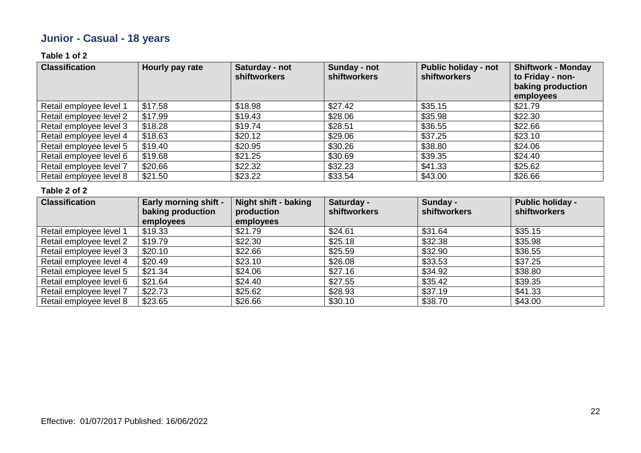## **Junior - Casual - 18 years**

### **Table 1 of 2**

| <b>Classification</b>   | Hourly pay rate | Saturday - not<br><b>shiftworkers</b> | Sunday - not<br><b>shiftworkers</b> | <b>Public holiday - not</b><br><b>shiftworkers</b> | <b>Shiftwork - Monday</b><br>to Friday - non-<br>baking production<br>employees |
|-------------------------|-----------------|---------------------------------------|-------------------------------------|----------------------------------------------------|---------------------------------------------------------------------------------|
| Retail employee level 1 | \$17.58         | \$18.98                               | \$27.42                             | \$35.15                                            | \$21.79                                                                         |
| Retail employee level 2 | \$17.99         | \$19.43                               | \$28.06                             | \$35.98                                            | \$22.30                                                                         |
| Retail employee level 3 | \$18.28         | \$19.74                               | \$28.51                             | \$36.55                                            | \$22.66                                                                         |
| Retail employee level 4 | \$18.63         | \$20.12                               | \$29.06                             | \$37.25                                            | \$23.10                                                                         |
| Retail employee level 5 | \$19.40         | \$20.95                               | \$30.26                             | \$38.80                                            | \$24.06                                                                         |
| Retail employee level 6 | \$19.68         | \$21.25                               | \$30.69                             | \$39.35                                            | \$24.40                                                                         |
| Retail employee level 7 | \$20.66         | \$22.32                               | \$32.23                             | \$41.33                                            | \$25.62                                                                         |
| Retail employee level 8 | \$21.50         | \$23.22                               | \$33.54                             | \$43.00                                            | \$26.66                                                                         |

| <b>Classification</b>   | <b>Early morning shift -</b><br>baking production<br>employees | <b>Night shift - baking</b><br>production<br>employees | Saturday -<br><b>shiftworkers</b> | Sunday -<br>shiftworkers | <b>Public holiday -</b><br>shiftworkers |
|-------------------------|----------------------------------------------------------------|--------------------------------------------------------|-----------------------------------|--------------------------|-----------------------------------------|
| Retail employee level 1 | \$19.33                                                        | \$21.79                                                | \$24.61                           | \$31.64                  | \$35.15                                 |
| Retail employee level 2 | \$19.79                                                        | \$22.30                                                | \$25.18                           | \$32.38                  | \$35.98                                 |
| Retail employee level 3 | \$20.10                                                        | \$22.66                                                | \$25.59                           | \$32.90                  | \$36.55                                 |
| Retail employee level 4 | \$20.49                                                        | \$23.10                                                | \$26.08                           | \$33.53                  | \$37.25                                 |
| Retail employee level 5 | \$21.34                                                        | \$24.06                                                | \$27.16                           | \$34.92                  | \$38.80                                 |
| Retail employee level 6 | \$21.64                                                        | \$24.40                                                | \$27.55                           | \$35.42                  | \$39.35                                 |
| Retail employee level 7 | \$22.73                                                        | \$25.62                                                | \$28.93                           | \$37.19                  | \$41.33                                 |
| Retail employee level 8 | \$23.65                                                        | \$26.66                                                | \$30.10                           | \$38.70                  | \$43.00                                 |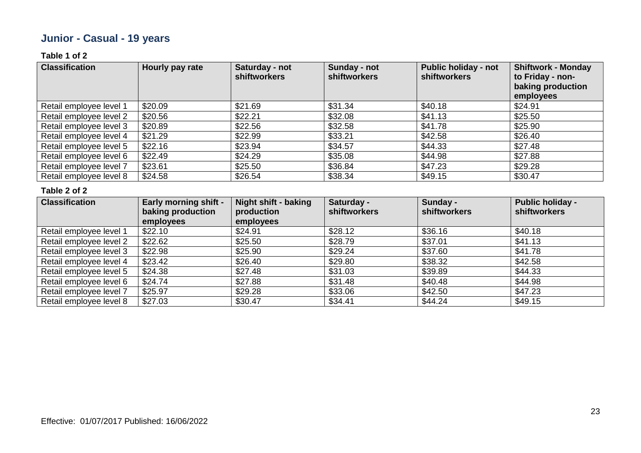## **Junior - Casual - 19 years**

### **Table 1 of 2**

| <b>Classification</b>   | Hourly pay rate | Saturday - not<br><b>shiftworkers</b> | <b>Sunday - not</b><br>shiftworkers | <b>Public holiday - not</b><br><b>shiftworkers</b> | <b>Shiftwork - Monday</b><br>to Friday - non-<br>baking production<br>employees |
|-------------------------|-----------------|---------------------------------------|-------------------------------------|----------------------------------------------------|---------------------------------------------------------------------------------|
| Retail employee level 1 | \$20.09         | \$21.69                               | \$31.34                             | \$40.18                                            | \$24.91                                                                         |
| Retail employee level 2 | \$20.56         | \$22.21                               | \$32.08                             | \$41.13                                            | \$25.50                                                                         |
| Retail employee level 3 | \$20.89         | \$22.56                               | \$32.58                             | \$41.78                                            | \$25.90                                                                         |
| Retail employee level 4 | \$21.29         | \$22.99                               | \$33.21                             | \$42.58                                            | \$26.40                                                                         |
| Retail employee level 5 | \$22.16         | \$23.94                               | \$34.57                             | \$44.33                                            | \$27.48                                                                         |
| Retail employee level 6 | \$22.49         | \$24.29                               | \$35.08                             | \$44.98                                            | \$27.88                                                                         |
| Retail employee level 7 | \$23.61         | \$25.50                               | \$36.84                             | \$47.23                                            | \$29.28                                                                         |
| Retail employee level 8 | \$24.58         | \$26.54                               | \$38.34                             | \$49.15                                            | \$30.47                                                                         |

| <b>Classification</b>   | <b>Early morning shift -</b><br>baking production<br>employees | <b>Night shift - baking</b><br>production<br>employees | Saturday -<br><b>shiftworkers</b> | Sunday -<br>shiftworkers | <b>Public holiday -</b><br>shiftworkers |
|-------------------------|----------------------------------------------------------------|--------------------------------------------------------|-----------------------------------|--------------------------|-----------------------------------------|
| Retail employee level 1 | \$22.10                                                        | \$24.91                                                | \$28.12                           | \$36.16                  | \$40.18                                 |
| Retail employee level 2 | \$22.62                                                        | \$25.50                                                | \$28.79                           | \$37.01                  | \$41.13                                 |
| Retail employee level 3 | \$22.98                                                        | \$25.90                                                | \$29.24                           | \$37.60                  | \$41.78                                 |
| Retail employee level 4 | \$23.42                                                        | \$26.40                                                | \$29.80                           | \$38.32                  | \$42.58                                 |
| Retail employee level 5 | \$24.38                                                        | \$27.48                                                | \$31.03                           | \$39.89                  | \$44.33                                 |
| Retail employee level 6 | \$24.74                                                        | \$27.88                                                | \$31.48                           | \$40.48                  | \$44.98                                 |
| Retail employee level 7 | \$25.97                                                        | \$29.28                                                | \$33.06                           | \$42.50                  | \$47.23                                 |
| Retail employee level 8 | \$27.03                                                        | \$30.47                                                | \$34.41                           | \$44.24                  | \$49.15                                 |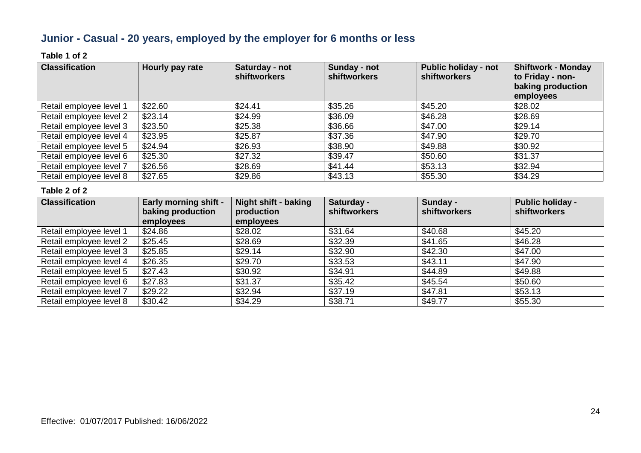### **Junior - Casual - 20 years, employed by the employer for 6 months or less**

### **Table 1 of 2**

| <b>Classification</b>   | Hourly pay rate | Saturday - not<br><b>shiftworkers</b> | Sunday - not<br><b>shiftworkers</b> | <b>Public holiday - not</b><br><b>shiftworkers</b> | <b>Shiftwork - Monday</b><br>to Friday - non-<br>baking production<br>employees |
|-------------------------|-----------------|---------------------------------------|-------------------------------------|----------------------------------------------------|---------------------------------------------------------------------------------|
| Retail employee level 1 | \$22.60         | \$24.41                               | \$35.26                             | \$45.20                                            | \$28.02                                                                         |
| Retail employee level 2 | \$23.14         | \$24.99                               | \$36.09                             | \$46.28                                            | \$28.69                                                                         |
| Retail employee level 3 | \$23.50         | \$25.38                               | \$36.66                             | \$47.00                                            | \$29.14                                                                         |
| Retail employee level 4 | \$23.95         | \$25.87                               | \$37.36                             | \$47.90                                            | \$29.70                                                                         |
| Retail employee level 5 | \$24.94         | \$26.93                               | \$38.90                             | \$49.88                                            | \$30.92                                                                         |
| Retail employee level 6 | \$25.30         | \$27.32                               | \$39.47                             | \$50.60                                            | \$31.37                                                                         |
| Retail employee level 7 | \$26.56         | \$28.69                               | \$41.44                             | \$53.13                                            | \$32.94                                                                         |
| Retail employee level 8 | \$27.65         | \$29.86                               | \$43.13                             | \$55.30                                            | \$34.29                                                                         |

| <b>Classification</b>   | <b>Early morning shift -</b><br>baking production<br>employees | <b>Night shift - baking</b><br>production<br>employees | Saturday -<br><b>shiftworkers</b> | Sunday -<br>shiftworkers | <b>Public holiday -</b><br>shiftworkers |
|-------------------------|----------------------------------------------------------------|--------------------------------------------------------|-----------------------------------|--------------------------|-----------------------------------------|
| Retail employee level 1 | \$24.86                                                        | \$28.02                                                | \$31.64                           | \$40.68                  | \$45.20                                 |
| Retail employee level 2 | \$25.45                                                        | \$28.69                                                | \$32.39                           | \$41.65                  | \$46.28                                 |
| Retail employee level 3 | \$25.85                                                        | \$29.14                                                | \$32.90                           | \$42.30                  | \$47.00                                 |
| Retail employee level 4 | \$26.35                                                        | \$29.70                                                | \$33.53                           | \$43.11                  | \$47.90                                 |
| Retail employee level 5 | \$27.43                                                        | \$30.92                                                | \$34.91                           | \$44.89                  | \$49.88                                 |
| Retail employee level 6 | \$27.83                                                        | \$31.37                                                | \$35.42                           | \$45.54                  | \$50.60                                 |
| Retail employee level 7 | \$29.22                                                        | \$32.94                                                | \$37.19                           | \$47.81                  | \$53.13                                 |
| Retail employee level 8 | \$30.42                                                        | \$34.29                                                | \$38.71                           | \$49.77                  | \$55.30                                 |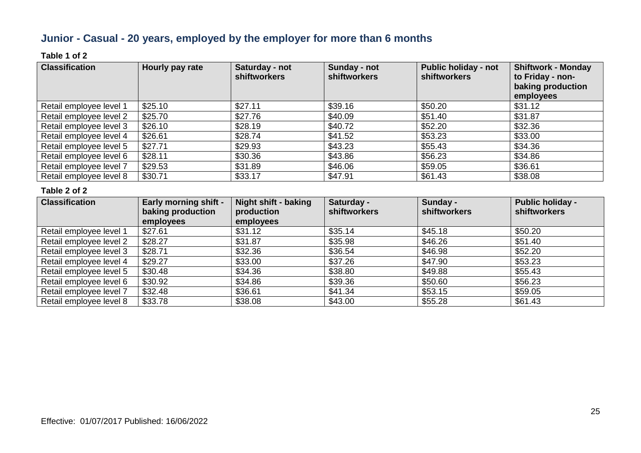### **Junior - Casual - 20 years, employed by the employer for more than 6 months**

### **Table 1 of 2**

| <b>Classification</b>   | Hourly pay rate | Saturday - not<br><b>shiftworkers</b> | Sunday - not<br><b>shiftworkers</b> | <b>Public holiday - not</b><br><b>shiftworkers</b> | <b>Shiftwork - Monday</b><br>to Friday - non-<br>baking production<br>employees |
|-------------------------|-----------------|---------------------------------------|-------------------------------------|----------------------------------------------------|---------------------------------------------------------------------------------|
| Retail employee level 1 | \$25.10         | \$27.11                               | \$39.16                             | \$50.20                                            | \$31.12                                                                         |
| Retail employee level 2 | \$25.70         | \$27.76                               | \$40.09                             | \$51.40                                            | \$31.87                                                                         |
| Retail employee level 3 | \$26.10         | \$28.19                               | \$40.72                             | \$52.20                                            | \$32.36                                                                         |
| Retail employee level 4 | \$26.61         | \$28.74                               | \$41.52                             | \$53.23                                            | \$33.00                                                                         |
| Retail employee level 5 | \$27.71         | \$29.93                               | \$43.23                             | \$55.43                                            | \$34.36                                                                         |
| Retail employee level 6 | \$28.11         | \$30.36                               | \$43.86                             | \$56.23                                            | \$34.86                                                                         |
| Retail employee level 7 | \$29.53         | \$31.89                               | \$46.06                             | \$59.05                                            | \$36.61                                                                         |
| Retail employee level 8 | \$30.71         | \$33.17                               | \$47.91                             | \$61.43                                            | \$38.08                                                                         |

| <b>Classification</b>   | <b>Early morning shift -</b><br>baking production<br>employees | Night shift - baking<br>production<br>employees | Saturday -<br><b>shiftworkers</b> | Sunday -<br>shiftworkers | <b>Public holiday -</b><br>shiftworkers |
|-------------------------|----------------------------------------------------------------|-------------------------------------------------|-----------------------------------|--------------------------|-----------------------------------------|
| Retail employee level 1 | \$27.61                                                        | \$31.12                                         | \$35.14                           | \$45.18                  | \$50.20                                 |
| Retail employee level 2 | \$28.27                                                        | \$31.87                                         | \$35.98                           | \$46.26                  | \$51.40                                 |
| Retail employee level 3 | \$28.71                                                        | \$32.36                                         | \$36.54                           | \$46.98                  | \$52.20                                 |
| Retail employee level 4 | \$29.27                                                        | \$33.00                                         | \$37.26                           | \$47.90                  | \$53.23                                 |
| Retail employee level 5 | \$30.48                                                        | \$34.36                                         | \$38.80                           | \$49.88                  | \$55.43                                 |
| Retail employee level 6 | \$30.92                                                        | \$34.86                                         | \$39.36                           | \$50.60                  | \$56.23                                 |
| Retail employee level 7 | \$32.48                                                        | \$36.61                                         | \$41.34                           | \$53.15                  | \$59.05                                 |
| Retail employee level 8 | \$33.78                                                        | \$38.08                                         | \$43.00                           | \$55.28                  | \$61.43                                 |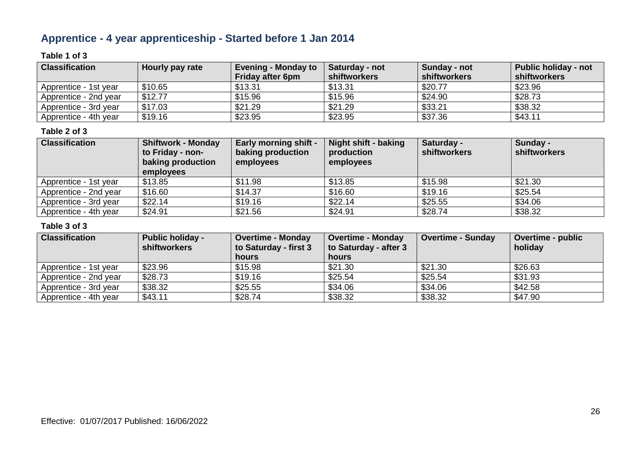### **Apprentice - 4 year apprenticeship - Started before 1 Jan 2014**

### **Table 1 of 3**

| <b>Classification</b> | Hourly pay rate | <b>Evening - Monday to</b><br><b>Friday after 6pm</b> | Saturday - not<br><b>shiftworkers</b> | Sunday - not<br><b>shiftworkers</b> | Public holiday - not<br>shiftworkers |
|-----------------------|-----------------|-------------------------------------------------------|---------------------------------------|-------------------------------------|--------------------------------------|
| Apprentice - 1st year | \$10.65         | \$13.31                                               | \$13.31                               | \$20.77                             | \$23.96                              |
| Apprentice - 2nd year | \$12.77         | \$15.96                                               | \$15.96                               | \$24.90                             | \$28.73                              |
| Apprentice - 3rd year | \$17.03         | \$21.29                                               | \$21.29                               | \$33.21                             | \$38.32                              |
| Apprentice - 4th year | \$19.16         | \$23.95                                               | \$23.95                               | \$37.36                             | \$43.11                              |

#### **Table 2 of 3**

| <b>Classification</b> | <b>Shiftwork - Monday</b><br>to Friday - non-<br>baking production<br>employees | <b>Early morning shift -</b><br>baking production<br>employees | Night shift - baking<br>production<br>employees | Saturday -<br>shiftworkers | Sunday -<br>shiftworkers |
|-----------------------|---------------------------------------------------------------------------------|----------------------------------------------------------------|-------------------------------------------------|----------------------------|--------------------------|
| Apprentice - 1st year | \$13.85                                                                         | \$11.98                                                        | \$13.85                                         | \$15.98                    | \$21.30                  |
| Apprentice - 2nd year | \$16.60                                                                         | \$14.37                                                        | \$16.60                                         | \$19.16                    | \$25.54                  |
| Apprentice - 3rd year | \$22.14                                                                         | \$19.16                                                        | \$22.14                                         | \$25.55                    | \$34.06                  |
| Apprentice - 4th year | \$24.91                                                                         | \$21.56                                                        | \$24.91                                         | \$28.74                    | \$38.32                  |

| <b>Classification</b> | <b>Public holiday -</b><br>shiftworkers | <b>Overtime - Monday</b><br>to Saturday - first 3 | <b>Overtime - Monday</b><br>to Saturday - after 3 | <b>Overtime - Sunday</b> | <b>Overtime - public</b><br>holiday |
|-----------------------|-----------------------------------------|---------------------------------------------------|---------------------------------------------------|--------------------------|-------------------------------------|
|                       |                                         | <b>hours</b>                                      | <b>hours</b>                                      |                          |                                     |
| Apprentice - 1st year | \$23.96                                 | \$15.98                                           | \$21.30                                           | \$21.30                  | \$26.63                             |
| Apprentice - 2nd year | \$28.73                                 | \$19.16                                           | \$25.54                                           | \$25.54                  | \$31.93                             |
| Apprentice - 3rd year | \$38.32                                 | \$25.55                                           | \$34.06                                           | \$34.06                  | \$42.58                             |
| Apprentice - 4th year | \$43.11                                 | \$28.74                                           | \$38.32                                           | \$38.32                  | \$47.90                             |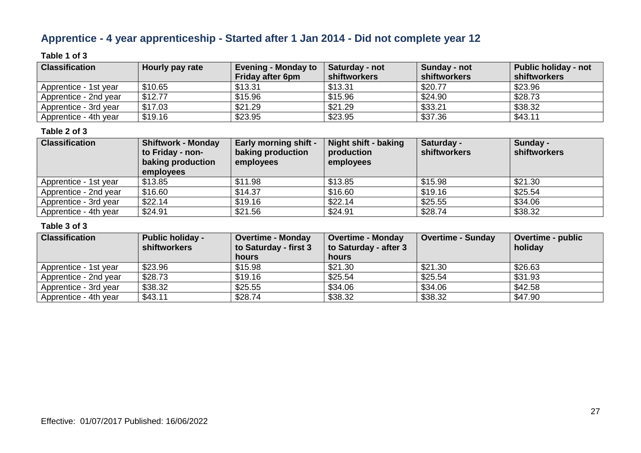### **Apprentice - 4 year apprenticeship - Started after 1 Jan 2014 - Did not complete year 12**

### **Table 1 of 3**

| <b>Classification</b> | Hourly pay rate | <b>Evening - Monday to</b><br><b>Friday after 6pm</b> | Saturday - not<br><b>shiftworkers</b> | Sunday - not<br>shiftworkers | Public holiday - not<br>shiftworkers |
|-----------------------|-----------------|-------------------------------------------------------|---------------------------------------|------------------------------|--------------------------------------|
| Apprentice - 1st year | \$10.65         | \$13.31                                               | \$13.31                               | \$20.77                      | \$23.96                              |
| Apprentice - 2nd year | \$12.77         | \$15.96                                               | \$15.96                               | \$24.90                      | \$28.73                              |
| Apprentice - 3rd year | \$17.03         | \$21.29                                               | \$21.29                               | \$33.21                      | \$38.32                              |
| Apprentice - 4th year | \$19.16         | \$23.95                                               | \$23.95                               | \$37.36                      | \$43.11                              |

#### **Table 2 of 3**

| <b>Classification</b> | <b>Shiftwork - Monday</b><br>to Friday - non-<br>baking production<br>employees | <b>Early morning shift -</b><br>baking production<br>employees | Night shift - baking<br>production<br>employees | Saturday -<br><b>shiftworkers</b> | Sunday -<br>shiftworkers |
|-----------------------|---------------------------------------------------------------------------------|----------------------------------------------------------------|-------------------------------------------------|-----------------------------------|--------------------------|
| Apprentice - 1st year | \$13.85                                                                         | \$11.98                                                        | \$13.85                                         | \$15.98                           | \$21.30                  |
| Apprentice - 2nd year | \$16.60                                                                         | \$14.37                                                        | \$16.60                                         | \$19.16                           | \$25.54                  |
| Apprentice - 3rd year | \$22.14                                                                         | \$19.16                                                        | \$22.14                                         | \$25.55                           | \$34.06                  |
| Apprentice - 4th year | \$24.91                                                                         | \$21.56                                                        | \$24.91                                         | \$28.74                           | \$38.32                  |

| <b>Classification</b> | <b>Public holiday -</b><br>shiftworkers | <b>Overtime - Monday</b><br>to Saturday - first 3 | <b>Overtime - Monday</b><br>to Saturday - after 3 | <b>Overtime - Sunday</b> | <b>Overtime - public</b><br>holiday |
|-----------------------|-----------------------------------------|---------------------------------------------------|---------------------------------------------------|--------------------------|-------------------------------------|
|                       |                                         | <b>hours</b>                                      | <b>hours</b>                                      |                          |                                     |
| Apprentice - 1st year | \$23.96                                 | \$15.98                                           | \$21.30                                           | \$21.30                  | \$26.63                             |
| Apprentice - 2nd year | \$28.73                                 | \$19.16                                           | \$25.54                                           | \$25.54                  | \$31.93                             |
| Apprentice - 3rd year | \$38.32                                 | \$25.55                                           | \$34.06                                           | \$34.06                  | \$42.58                             |
| Apprentice - 4th year | \$43.11                                 | \$28.74                                           | \$38.32                                           | \$38.32                  | \$47.90                             |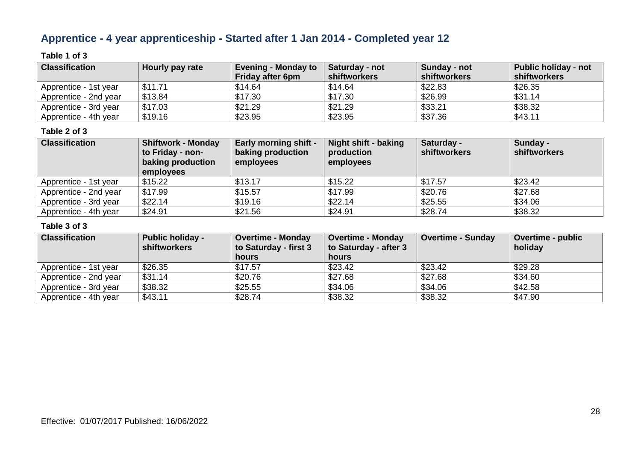### **Apprentice - 4 year apprenticeship - Started after 1 Jan 2014 - Completed year 12**

### **Table 1 of 3**

| <b>Classification</b> | Hourly pay rate | <b>Evening - Monday to</b><br><b>Friday after 6pm</b> | Saturday - not<br><b>shiftworkers</b> | Sunday - not<br>shiftworkers | <b>Public holiday - not</b><br>shiftworkers |
|-----------------------|-----------------|-------------------------------------------------------|---------------------------------------|------------------------------|---------------------------------------------|
| Apprentice - 1st year | \$11.71         | \$14.64                                               | \$14.64                               | \$22.83                      | \$26.35                                     |
| Apprentice - 2nd year | \$13.84         | \$17.30                                               | \$17.30                               | \$26.99                      | \$31.14                                     |
| Apprentice - 3rd year | \$17.03         | \$21.29                                               | \$21.29                               | \$33.21                      | \$38.32                                     |
| Apprentice - 4th year | \$19.16         | \$23.95                                               | \$23.95                               | \$37.36                      | \$43.11                                     |

### **Table 2 of 3**

| <b>Classification</b> | <b>Shiftwork - Monday</b><br>to Friday - non-<br>baking production<br>employees | <b>Early morning shift -</b><br>baking production<br>employees | Night shift - baking<br>production<br>employees | Saturday -<br><b>shiftworkers</b> | Sunday -<br>shiftworkers |
|-----------------------|---------------------------------------------------------------------------------|----------------------------------------------------------------|-------------------------------------------------|-----------------------------------|--------------------------|
| Apprentice - 1st year | \$15.22                                                                         | \$13.17                                                        | \$15.22                                         | \$17.57                           | \$23.42                  |
| Apprentice - 2nd year | \$17.99                                                                         | \$15.57                                                        | \$17.99                                         | \$20.76                           | \$27.68                  |
| Apprentice - 3rd year | \$22.14                                                                         | \$19.16                                                        | \$22.14                                         | \$25.55                           | \$34.06                  |
| Apprentice - 4th year | \$24.91                                                                         | \$21.56                                                        | \$24.91                                         | \$28.74                           | \$38.32                  |

| <b>Classification</b> | <b>Public holiday -</b><br>shiftworkers | Overtime - Monday<br>to Saturday - first 3 | <b>Overtime - Monday</b><br>to Saturday - after 3 | <b>Overtime - Sunday</b> | Overtime - public<br>holiday |
|-----------------------|-----------------------------------------|--------------------------------------------|---------------------------------------------------|--------------------------|------------------------------|
|                       |                                         | <b>hours</b>                               | hours                                             |                          |                              |
| Apprentice - 1st year | \$26.35                                 | \$17.57                                    | \$23.42                                           | \$23.42                  | \$29.28                      |
| Apprentice - 2nd year | \$31.14                                 | \$20.76                                    | \$27.68                                           | \$27.68                  | \$34.60                      |
| Apprentice - 3rd year | \$38.32                                 | \$25.55                                    | \$34.06                                           | \$34.06                  | \$42.58                      |
| Apprentice - 4th year | \$43.11                                 | \$28.74                                    | \$38.32                                           | \$38.32                  | \$47.90                      |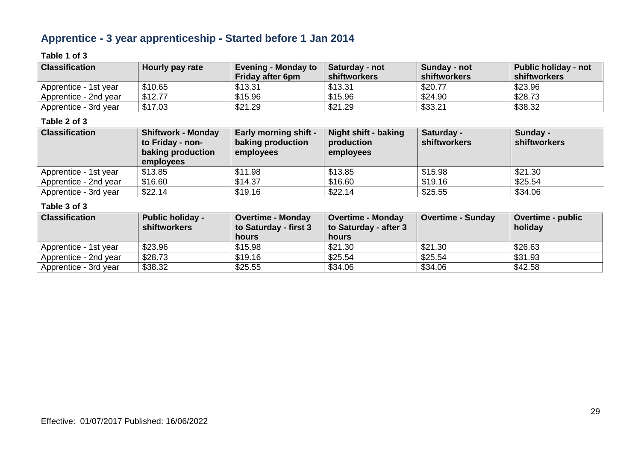### **Apprentice - 3 year apprenticeship - Started before 1 Jan 2014**

### **Table 1 of 3**

| <b>Classification</b> | Hourly pay rate | <b>Evening - Monday to</b><br><b>Friday after 6pm</b> | <b>Saturday - not</b><br>shiftworkers | Sunday - not<br>shiftworkers | <b>Public holiday - not</b><br>shiftworkers |
|-----------------------|-----------------|-------------------------------------------------------|---------------------------------------|------------------------------|---------------------------------------------|
| Apprentice - 1st vear | \$10.65         | \$13.31                                               | \$13.31                               | \$20.77                      | \$23.96                                     |
| Apprentice - 2nd vear | \$12.77         | \$15.96                                               | \$15.96                               | \$24.90                      | \$28.73                                     |
| Apprentice - 3rd year | \$17.03         | \$21.29                                               | \$21.29                               | \$33.21                      | \$38.32                                     |

### **Table 2 of 3**

| <b>Classification</b> | <b>Shiftwork - Monday</b><br>to Friday - non-<br>baking production<br>employees | <b>Early morning shift -</b><br>baking production<br>employees | Night shift - baking<br>production<br>employees | Saturday -<br>shiftworkers | Sunday -<br>shiftworkers |
|-----------------------|---------------------------------------------------------------------------------|----------------------------------------------------------------|-------------------------------------------------|----------------------------|--------------------------|
| Apprentice - 1st year | \$13.85                                                                         | \$11.98                                                        | \$13.85                                         | \$15.98                    | \$21.30                  |
| Apprentice - 2nd year | \$16.60                                                                         | \$14.37                                                        | \$16.60                                         | \$19.16                    | \$25.54                  |
| Apprentice - 3rd year | \$22.14                                                                         | \$19.16                                                        | \$22.14                                         | \$25.55                    | \$34.06                  |

| <b>Classification</b> | <b>Public holiday -</b><br>shiftworkers | <b>Overtime - Monday</b><br>to Saturday - first 3 | <b>Overtime - Monday</b><br>to Saturday - after 3 | Overtime - Sunday | <b>Overtime - public</b><br>holiday |
|-----------------------|-----------------------------------------|---------------------------------------------------|---------------------------------------------------|-------------------|-------------------------------------|
|                       |                                         | hours                                             | hours                                             |                   |                                     |
| Apprentice - 1st year | \$23.96                                 | \$15.98                                           | \$21.30                                           | \$21.30           | \$26.63                             |
| Apprentice - 2nd year | \$28.73                                 | \$19.16                                           | \$25.54                                           | \$25.54           | \$31.93                             |
| Apprentice - 3rd year | \$38.32                                 | \$25.55                                           | \$34.06                                           | \$34.06           | \$42.58                             |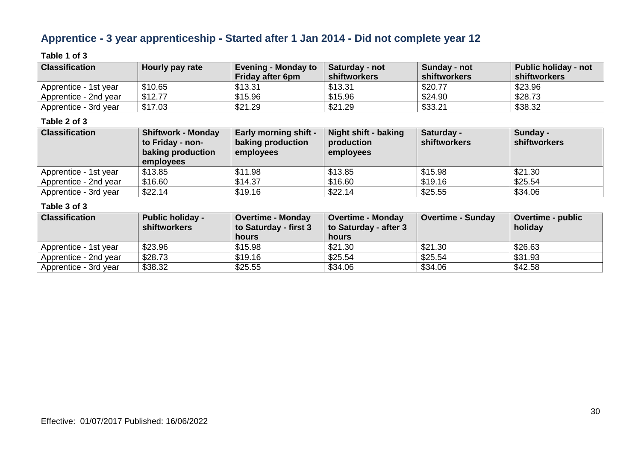### **Apprentice - 3 year apprenticeship - Started after 1 Jan 2014 - Did not complete year 12**

### **Table 1 of 3**

| <b>Classification</b> | Hourly pay rate | <b>Evening - Monday to</b><br>Friday after 6pm | <b>Saturday - not</b><br><b>shiftworkers</b> | Sunday - not<br>shiftworkers | <b>Public holiday - not</b><br>shiftworkers |
|-----------------------|-----------------|------------------------------------------------|----------------------------------------------|------------------------------|---------------------------------------------|
| Apprentice - 1st vear | \$10.65         | \$13.31                                        | \$13.31                                      | \$20.77                      | \$23.96                                     |
| Apprentice - 2nd year | \$12.77         | \$15.96                                        | \$15.96                                      | \$24.90                      | \$28.73                                     |
| Apprentice - 3rd year | \$17.03         | \$21.29                                        | \$21.29                                      | \$33.21                      | \$38.32                                     |

### **Table 2 of 3**

| <b>Classification</b> | <b>Shiftwork - Monday</b><br>to Friday - non-<br>baking production<br><b>employees</b> | <b>Early morning shift -</b><br>baking production<br>employees | Night shift - baking<br>production<br>employees | Saturday -<br>shiftworkers | Sunday -<br>shiftworkers |
|-----------------------|----------------------------------------------------------------------------------------|----------------------------------------------------------------|-------------------------------------------------|----------------------------|--------------------------|
| Apprentice - 1st year | \$13.85                                                                                | \$11.98                                                        | \$13.85                                         | \$15.98                    | \$21.30                  |
| Apprentice - 2nd year | \$16.60                                                                                | \$14.37                                                        | \$16.60                                         | \$19.16                    | \$25.54                  |
| Apprentice - 3rd year | \$22.14                                                                                | \$19.16                                                        | \$22.14                                         | \$25.55                    | \$34.06                  |

| <b>Classification</b> | <b>Public holiday -</b><br>shiftworkers | <b>Overtime - Monday</b><br>to Saturday - first 3 | <b>Overtime - Monday</b><br>to Saturday - after 3 | Overtime - Sunday | <b>Overtime - public</b><br>holiday |
|-----------------------|-----------------------------------------|---------------------------------------------------|---------------------------------------------------|-------------------|-------------------------------------|
|                       |                                         | hours                                             | hours                                             |                   |                                     |
| Apprentice - 1st year | \$23.96                                 | \$15.98                                           | \$21.30                                           | \$21.30           | \$26.63                             |
| Apprentice - 2nd year | \$28.73                                 | \$19.16                                           | \$25.54                                           | \$25.54           | \$31.93                             |
| Apprentice - 3rd year | \$38.32                                 | \$25.55                                           | \$34.06                                           | \$34.06           | \$42.58                             |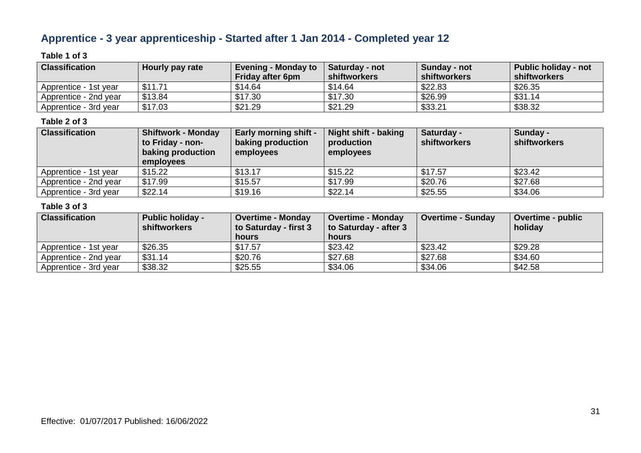### **Apprentice - 3 year apprenticeship - Started after 1 Jan 2014 - Completed year 12**

### **Table 1 of 3**

| <b>Classification</b>   | Hourly pay rate | <b>Evening - Monday to</b><br><b>Friday after 6pm</b> | Saturday - not<br><b>shiftworkers</b> | Sunday - not<br>shiftworkers | <b>Public holiday - not</b><br>shiftworkers |
|-------------------------|-----------------|-------------------------------------------------------|---------------------------------------|------------------------------|---------------------------------------------|
| l Apprentice - 1st vear | \$11.71         | \$14.64                                               | \$14.64                               | \$22.83                      | \$26.35                                     |
| Apprentice - 2nd year   | \$13.84         | \$17.30                                               | \$17.30                               | \$26.99                      | \$31.14                                     |
| Apprentice - 3rd year   | \$17.03         | \$21.29                                               | \$21.29                               | \$33.21                      | \$38.32                                     |

### **Table 2 of 3**

| <b>Classification</b> | <b>Shiftwork - Monday</b><br>to Friday - non-<br>baking production<br>employees | <b>Early morning shift -</b><br>baking production<br>employees | Night shift - baking<br>production<br>employees | Saturday -<br>shiftworkers | Sunday -<br>shiftworkers |
|-----------------------|---------------------------------------------------------------------------------|----------------------------------------------------------------|-------------------------------------------------|----------------------------|--------------------------|
| Apprentice - 1st year | \$15.22                                                                         | \$13.17                                                        | \$15.22                                         | \$17.57                    | \$23.42                  |
| Apprentice - 2nd year | \$17.99                                                                         | \$15.57                                                        | \$17.99                                         | \$20.76                    | \$27.68                  |
| Apprentice - 3rd year | \$22.14                                                                         | \$19.16                                                        | \$22.14                                         | \$25.55                    | \$34.06                  |

| <b>Classification</b> | <b>Public holiday -</b><br>shiftworkers | <b>Overtime - Monday</b><br>to Saturday - first 3 | <b>Overtime - Monday</b><br>to Saturday - after 3 | Overtime - Sunday | <b>Overtime - public</b><br>holiday |
|-----------------------|-----------------------------------------|---------------------------------------------------|---------------------------------------------------|-------------------|-------------------------------------|
|                       |                                         | hours                                             | hours                                             |                   |                                     |
| Apprentice - 1st year | \$26.35                                 | \$17.57                                           | \$23.42                                           | \$23.42           | \$29.28                             |
| Apprentice - 2nd year | \$31.14                                 | \$20.76                                           | \$27.68                                           | \$27.68           | \$34.60                             |
| Apprentice - 3rd year | \$38.32                                 | \$25.55                                           | \$34.06                                           | \$34.06           | \$42.58                             |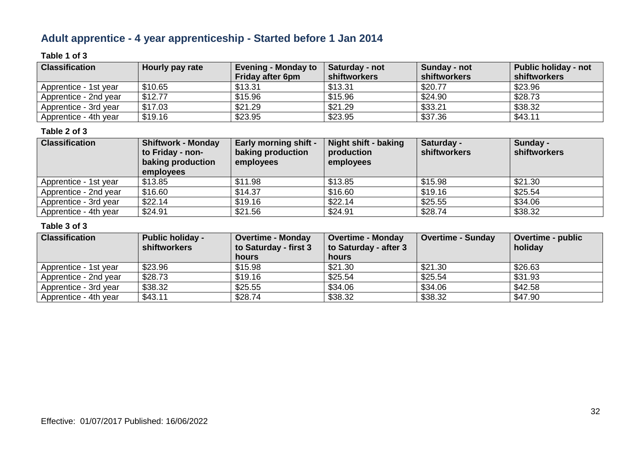### **Adult apprentice - 4 year apprenticeship - Started before 1 Jan 2014**

### **Table 1 of 3**

| <b>Classification</b> | Hourly pay rate | <b>Evening - Monday to</b><br><b>Friday after 6pm</b> | Saturday - not<br><b>shiftworkers</b> | Sunday - not<br>shiftworkers | Public holiday - not<br>shiftworkers |
|-----------------------|-----------------|-------------------------------------------------------|---------------------------------------|------------------------------|--------------------------------------|
| Apprentice - 1st year | \$10.65         | \$13.31                                               | \$13.31                               | \$20.77                      | \$23.96                              |
| Apprentice - 2nd year | \$12.77         | \$15.96                                               | \$15.96                               | \$24.90                      | \$28.73                              |
| Apprentice - 3rd year | \$17.03         | \$21.29                                               | \$21.29                               | \$33.21                      | \$38.32                              |
| Apprentice - 4th year | \$19.16         | \$23.95                                               | \$23.95                               | \$37.36                      | \$43.11                              |

### **Table 2 of 3**

| <b>Classification</b> | <b>Shiftwork - Monday</b><br>to Friday - non-<br>baking production<br>employees | <b>Early morning shift -</b><br>baking production<br>employees | Night shift - baking<br>production<br>employees | Saturday -<br><b>shiftworkers</b> | Sunday -<br>shiftworkers |
|-----------------------|---------------------------------------------------------------------------------|----------------------------------------------------------------|-------------------------------------------------|-----------------------------------|--------------------------|
| Apprentice - 1st year | \$13.85                                                                         | \$11.98                                                        | \$13.85                                         | \$15.98                           | \$21.30                  |
| Apprentice - 2nd year | \$16.60                                                                         | \$14.37                                                        | \$16.60                                         | \$19.16                           | \$25.54                  |
| Apprentice - 3rd year | \$22.14                                                                         | \$19.16                                                        | \$22.14                                         | \$25.55                           | \$34.06                  |
| Apprentice - 4th year | \$24.91                                                                         | \$21.56                                                        | \$24.91                                         | \$28.74                           | \$38.32                  |

| <b>Classification</b> | <b>Public holiday -</b><br>shiftworkers | <b>Overtime - Monday</b><br>to Saturday - first 3 | <b>Overtime - Monday</b><br>to Saturday - after 3 | Overtime - Sunday | <b>Overtime - public</b><br>holiday |
|-----------------------|-----------------------------------------|---------------------------------------------------|---------------------------------------------------|-------------------|-------------------------------------|
|                       |                                         | <b>hours</b>                                      | hours                                             |                   |                                     |
| Apprentice - 1st year | \$23.96                                 | \$15.98                                           | \$21.30                                           | \$21.30           | \$26.63                             |
| Apprentice - 2nd year | \$28.73                                 | \$19.16                                           | \$25.54                                           | \$25.54           | \$31.93                             |
| Apprentice - 3rd year | \$38.32                                 | \$25.55                                           | \$34.06                                           | \$34.06           | \$42.58                             |
| Apprentice - 4th year | \$43.11                                 | \$28.74                                           | \$38.32                                           | \$38.32           | \$47.90                             |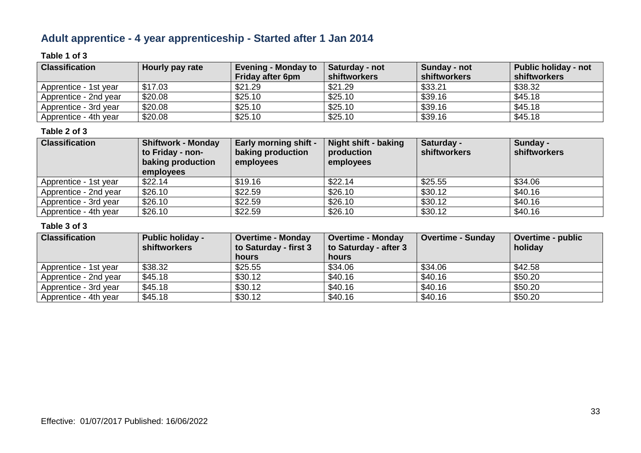### **Adult apprentice - 4 year apprenticeship - Started after 1 Jan 2014**

### **Table 1 of 3**

| <b>Classification</b> | Hourly pay rate | Evening - Monday to<br><b>Friday after 6pm</b> | Saturday - not<br><b>shiftworkers</b> | Sunday - not<br>shiftworkers | Public holiday - not<br>shiftworkers |
|-----------------------|-----------------|------------------------------------------------|---------------------------------------|------------------------------|--------------------------------------|
| Apprentice - 1st year | \$17.03         | \$21.29                                        | \$21.29                               | \$33.21                      | \$38.32                              |
| Apprentice - 2nd year | \$20.08         | \$25.10                                        | \$25.10                               | \$39.16                      | \$45.18                              |
| Apprentice - 3rd year | \$20.08         | \$25.10                                        | \$25.10                               | \$39.16                      | \$45.18                              |
| Apprentice - 4th year | \$20.08         | \$25.10                                        | \$25.10                               | \$39.16                      | \$45.18                              |

### **Table 2 of 3**

| <b>Classification</b> | <b>Shiftwork - Monday</b><br>to Friday - non-<br>baking production<br>employees | <b>Early morning shift -</b><br>baking production<br>employees | <b>Night shift - baking</b><br>production<br>employees | Saturday -<br><b>shiftworkers</b> | Sunday -<br>shiftworkers |
|-----------------------|---------------------------------------------------------------------------------|----------------------------------------------------------------|--------------------------------------------------------|-----------------------------------|--------------------------|
| Apprentice - 1st year | \$22.14                                                                         | \$19.16                                                        | \$22.14                                                | \$25.55                           | \$34.06                  |
| Apprentice - 2nd year | \$26.10                                                                         | \$22.59                                                        | \$26.10                                                | \$30.12                           | \$40.16                  |
| Apprentice - 3rd year | \$26.10                                                                         | \$22.59                                                        | \$26.10                                                | \$30.12                           | \$40.16                  |
| Apprentice - 4th year | \$26.10                                                                         | \$22.59                                                        | \$26.10                                                | \$30.12                           | \$40.16                  |

| <b>Classification</b> | <b>Public holiday -</b><br>shiftworkers | <b>Overtime - Monday</b><br>to Saturday - first 3 | <b>Overtime - Monday</b><br>to Saturday - after 3 | <b>Overtime - Sunday</b> | Overtime - public<br>holiday |
|-----------------------|-----------------------------------------|---------------------------------------------------|---------------------------------------------------|--------------------------|------------------------------|
|                       |                                         | <b>hours</b>                                      | hours                                             |                          |                              |
| Apprentice - 1st year | \$38.32                                 | \$25.55                                           | \$34.06                                           | \$34.06                  | \$42.58                      |
| Apprentice - 2nd year | \$45.18                                 | \$30.12                                           | \$40.16                                           | \$40.16                  | \$50.20                      |
| Apprentice - 3rd year | \$45.18                                 | \$30.12                                           | \$40.16                                           | \$40.16                  | \$50.20                      |
| Apprentice - 4th year | \$45.18                                 | \$30.12                                           | \$40.16                                           | \$40.16                  | \$50.20                      |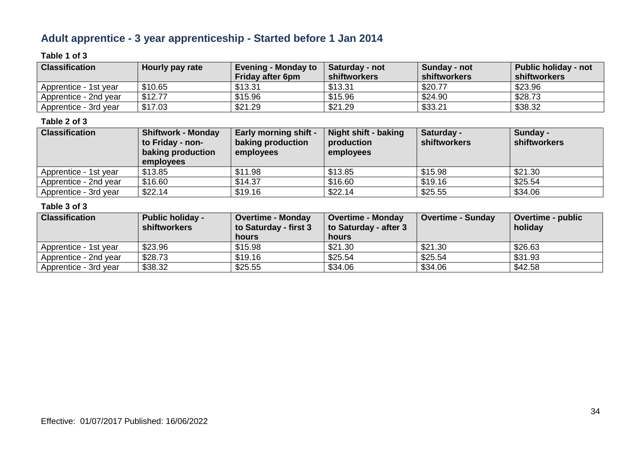### **Adult apprentice - 3 year apprenticeship - Started before 1 Jan 2014**

### **Table 1 of 3**

| <b>Classification</b> | Hourly pay rate | <b>Evening - Monday to</b><br>Friday after 6pm | <b>Saturday - not</b><br><b>shiftworkers</b> | Sunday - not<br>shiftworkers | <b>Public holiday - not</b><br>shiftworkers |
|-----------------------|-----------------|------------------------------------------------|----------------------------------------------|------------------------------|---------------------------------------------|
| Apprentice - 1st vear | \$10.65         | \$13.31                                        | \$13.31                                      | \$20.77                      | \$23.96                                     |
| Apprentice - 2nd year | \$12.77         | \$15.96                                        | \$15.96                                      | \$24.90                      | \$28.73                                     |
| Apprentice - 3rd year | \$17.03         | \$21.29                                        | \$21.29                                      | \$33.21                      | \$38.32                                     |

### **Table 2 of 3**

| <b>Classification</b> | <b>Shiftwork - Monday</b><br>to Friday - non-<br>baking production<br><b>employees</b> | <b>Early morning shift -</b><br>baking production<br>employees | Night shift - baking<br>production<br>employees | Saturday -<br><b>shiftworkers</b> | Sunday -<br>shiftworkers |
|-----------------------|----------------------------------------------------------------------------------------|----------------------------------------------------------------|-------------------------------------------------|-----------------------------------|--------------------------|
| Apprentice - 1st year | \$13.85                                                                                | \$11.98                                                        | \$13.85                                         | \$15.98                           | \$21.30                  |
| Apprentice - 2nd year | \$16.60                                                                                | \$14.37                                                        | \$16.60                                         | \$19.16                           | \$25.54                  |
| Apprentice - 3rd year | \$22.14                                                                                | \$19.16                                                        | \$22.14                                         | \$25.55                           | \$34.06                  |

| <b>Classification</b> | <b>Public holiday -</b><br><b>shiftworkers</b> | <b>Overtime - Monday</b><br>to Saturday - first 3 | <b>Overtime - Monday</b><br>to Saturday - after 3 | <b>Overtime - Sunday</b> | <b>Overtime - public</b><br>holiday |
|-----------------------|------------------------------------------------|---------------------------------------------------|---------------------------------------------------|--------------------------|-------------------------------------|
|                       |                                                | hours                                             | hours                                             |                          |                                     |
| Apprentice - 1st year | \$23.96                                        | \$15.98                                           | \$21.30                                           | \$21.30                  | \$26.63                             |
| Apprentice - 2nd year | \$28.73                                        | \$19.16                                           | \$25.54                                           | \$25.54                  | \$31.93                             |
| Apprentice - 3rd year | \$38.32                                        | \$25.55                                           | \$34.06                                           | \$34.06                  | \$42.58                             |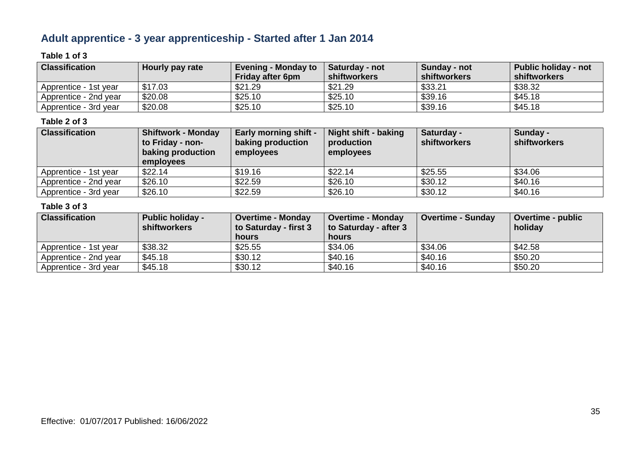### **Adult apprentice - 3 year apprenticeship - Started after 1 Jan 2014**

### **Table 1 of 3**

| <b>Classification</b> | Hourly pay rate | <b>Evening - Monday to</b><br><b>Friday after 6pm</b> | <b>Saturday - not</b><br><b>shiftworkers</b> | Sunday - not<br><b>shiftworkers</b> | <b>Public holiday - not</b><br>shiftworkers |
|-----------------------|-----------------|-------------------------------------------------------|----------------------------------------------|-------------------------------------|---------------------------------------------|
| Apprentice - 1st vear | \$17.03         | \$21.29                                               | \$21.29                                      | \$33.21                             | \$38.32                                     |
| Apprentice - 2nd year | \$20.08         | \$25.10                                               | \$25.10                                      | \$39.16                             | \$45.18                                     |
| Apprentice - 3rd year | \$20.08         | \$25.10                                               | \$25.10                                      | \$39.16                             | \$45.18                                     |

### **Table 2 of 3**

| <b>Classification</b> | <b>Shiftwork - Monday</b><br>to Friday - non-<br>baking production<br>employees | <b>Early morning shift -</b><br>baking production<br>employees | Night shift - baking<br>production<br>employees | Saturday -<br>shiftworkers | Sunday -<br>shiftworkers |
|-----------------------|---------------------------------------------------------------------------------|----------------------------------------------------------------|-------------------------------------------------|----------------------------|--------------------------|
| Apprentice - 1st year | \$22.14                                                                         | \$19.16                                                        | \$22.14                                         | \$25.55                    | \$34.06                  |
| Apprentice - 2nd year | \$26.10                                                                         | \$22.59                                                        | \$26.10                                         | \$30.12                    | \$40.16                  |
| Apprentice - 3rd year | \$26.10                                                                         | \$22.59                                                        | \$26.10                                         | \$30.12                    | \$40.16                  |

| <b>Classification</b> | <b>Public holiday -</b><br>shiftworkers | <b>Overtime - Monday</b><br>to Saturday - first 3 | <b>Overtime - Monday</b><br>to Saturday - after 3 | <b>Overtime - Sunday</b> | <b>Overtime - public</b><br>holiday |
|-----------------------|-----------------------------------------|---------------------------------------------------|---------------------------------------------------|--------------------------|-------------------------------------|
|                       |                                         | hours                                             | hours                                             |                          |                                     |
| Apprentice - 1st year | \$38.32                                 | \$25.55                                           | \$34.06                                           | \$34.06                  | \$42.58                             |
| Apprentice - 2nd year | \$45.18                                 | \$30.12                                           | \$40.16                                           | \$40.16                  | \$50.20                             |
| Apprentice - 3rd year | \$45.18                                 | \$30.12                                           | \$40.16                                           | \$40.16                  | \$50.20                             |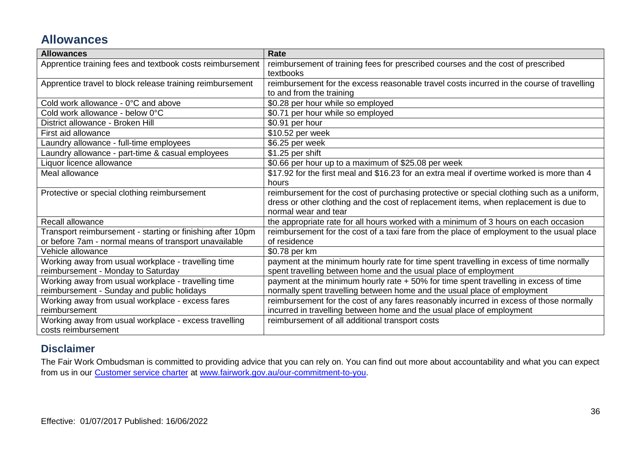### **Allowances**

| <b>Allowances</b>                                          | <b>Rate</b>                                                                                |
|------------------------------------------------------------|--------------------------------------------------------------------------------------------|
| Apprentice training fees and textbook costs reimbursement  | reimbursement of training fees for prescribed courses and the cost of prescribed           |
|                                                            | textbooks                                                                                  |
| Apprentice travel to block release training reimbursement  | reimbursement for the excess reasonable travel costs incurred in the course of travelling  |
|                                                            | to and from the training                                                                   |
| Cold work allowance - 0°C and above                        | \$0.28 per hour while so employed                                                          |
| Cold work allowance - below 0°C                            | \$0.71 per hour while so employed                                                          |
| District allowance - Broken Hill                           | \$0.91 per hour                                                                            |
| First aid allowance                                        | \$10.52 per week                                                                           |
| Laundry allowance - full-time employees                    | \$6.25 per week                                                                            |
| Laundry allowance - part-time & casual employees           | \$1.25 per shift                                                                           |
| Liquor licence allowance                                   | \$0.66 per hour up to a maximum of \$25.08 per week                                        |
| Meal allowance                                             | \$17.92 for the first meal and \$16.23 for an extra meal if overtime worked is more than 4 |
|                                                            | hours                                                                                      |
| Protective or special clothing reimbursement               | reimbursement for the cost of purchasing protective or special clothing such as a uniform, |
|                                                            | dress or other clothing and the cost of replacement items, when replacement is due to      |
|                                                            | normal wear and tear                                                                       |
| Recall allowance                                           | the appropriate rate for all hours worked with a minimum of 3 hours on each occasion       |
| Transport reimbursement - starting or finishing after 10pm | reimbursement for the cost of a taxi fare from the place of employment to the usual place  |
| or before 7am - normal means of transport unavailable      | of residence                                                                               |
| Vehicle allowance                                          | \$0.78 per km                                                                              |
| Working away from usual workplace - travelling time        | payment at the minimum hourly rate for time spent travelling in excess of time normally    |
| reimbursement - Monday to Saturday                         | spent travelling between home and the usual place of employment                            |
| Working away from usual workplace - travelling time        | payment at the minimum hourly rate + 50% for time spent travelling in excess of time       |
| reimbursement - Sunday and public holidays                 | normally spent travelling between home and the usual place of employment                   |
| Working away from usual workplace - excess fares           | reimbursement for the cost of any fares reasonably incurred in excess of those normally    |
| reimbursement                                              | incurred in travelling between home and the usual place of employment                      |
| Working away from usual workplace - excess travelling      | reimbursement of all additional transport costs                                            |
| costs reimbursement                                        |                                                                                            |

### **Disclaimer**

The Fair Work Ombudsman is committed to providing advice that you can rely on. You can find out more about accountability and what you can expect from us in our [Customer service charter](https://www.fairwork.gov.au/about-us/our-role-and-purpose/our-priorities/our-commitment-to-you#customer-service-charter) at [www.fairwork.gov.au/our-commitment-to-you.](http://www.fairwork.gov.au/our-commitment-to-you)